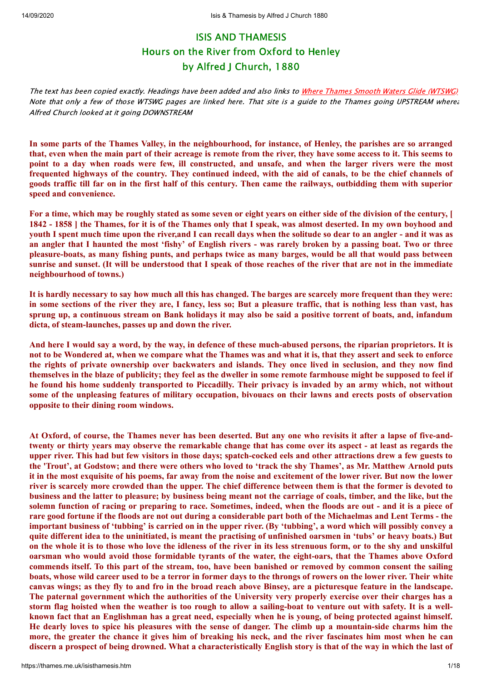# ISIS AND THAMESIS Hours on the River from Oxford to Henley by Alfred J Church, 1880

The text has been copied exactly. Headings have been added and also links to [Where Thames Smooth Waters Glide \(WTSWG\)](https://thames.me.uk/thames.me.uk/index.htm) Note that only a few of those WTSWG pages are linked here. That site is a guide to the Thames going UPSTREAM wherea Alfred Church looked at it going DOWNSTREAM

In some parts of the Thames Valley, in the neighbourhood, for instance, of Henley, the parishes are so arranged that, even when the main part of their acreage is remote from the river, they have some access to it. This seems to point to a day when roads were few, ill constructed, and unsafe, and when the larger rivers were the most frequented highways of the country. They continued indeed, with the aid of canals, to be the chief channels of goods traffic till far on in the first half of this century. Then came the railways, outbidding them with superior **speed and convenience.**

For a time, which may be roughly stated as some seven or eight years on either side of the division of the century, [ 1842 - 1858 | the Thames, for it is of the Thames only that I speak, was almost deserted. In my own boyhood and youth I spent much time upon the river, and I can recall days when the solitude so dear to an angler - and it was as an angler that I haunted the most 'fishy' of English rivers - was rarely broken by a passing boat. Two or three pleasure-boats, as many fishing punts, and perhaps twice as many barges, would be all that would pass between sunrise and sunset. (It will be understood that I speak of those reaches of the river that are not in the immediate **neighbourhood of towns.)**

It is hardly necessary to say how much all this has changed. The barges are scarcely more frequent than they were: in some sections of the river they are, I fancy, less so; But a pleasure traffic, that is nothing less than vast, has sprung up, a continuous stream on Bank holidays it may also be said a positive torrent of boats, and, infandum **dicta, of steam-launches, passes up and down the river.**

And here I would say a word, by the way, in defence of these much-abused persons, the riparian proprietors. It is not to be Wondered at, when we compare what the Thames was and what it is, that they assert and seek to enforce the rights of private ownership over backwaters and islands. They once lived in seclusion, and they now find themselves in the blaze of publicity; they feel as the dweller in some remote farmhouse might be supposed to feel if he found his home suddenly transported to Piccadilly. Their privacy is invaded by an army which, not without some of the unpleasing features of military occupation, bivouacs on their lawns and erects posts of observation **opposite to their dining room windows.**

At Oxford, of course, the Thames never has been deserted. But any one who revisits it after a lapse of five-andtwenty or thirty years may observe the remarkable change that has come over its aspect - at least as regards the upper river. This had but few visitors in those days; spatch-cocked eels and other attractions drew a few guests to the 'Trout', at Godstow; and there were others who loved to 'track the shy Thames', as Mr. Matthew Arnold puts it in the most exquisite of his poems, far away from the noise and excitement of the lower river. But now the lower river is scarcely more crowded than the upper. The chief difference between them is that the former is devoted to business and the latter to pleasure; by business being meant not the carriage of coals, timber, and the like, but the solemn function of racing or preparing to race. Sometimes, indeed, when the floods are out - and it is a piece of rare good fortune if the floods are not out during a considerable part both of the Michaelmas and Lent Terms - the important business of 'tubbing' is carried on in the upper river. (By 'tubbing', a word which will possibly convey a quite different idea to the uninitiated, is meant the practising of unfinished oarsmen in 'tubs' or heavy boats.) But on the whole it is to those who love the idleness of the river in its less strenuous form, or to the shy and unskilful oarsman who would avoid those formidable tyrants of the water, the eight-oars, that the Thames above Oxford commends itself. To this part of the stream, too, have been banished or removed by common consent the sailing boats, whose wild career used to be a terror in former days to the throngs of rowers on the lower river. Their white canvas wings; as they fly to and fro in the broad reach above Binsey, are a picturesque feature in the landscape. The paternal government which the authorities of the University very properly exercise over their charges has a storm flag hoisted when the weather is too rough to allow a sailing-boat to venture out with safety. It is a wellknown fact that an Englishman has a great need, especially when he is young, of being protected against himself. He dearly loves to spice his pleasures with the sense of danger. The climb up a mountain-side charms him the more, the greater the chance it gives him of breaking his neck, and the river fascinates him most when he can discern a prospect of being drowned. What a characteristically English story is that of the way in which the last of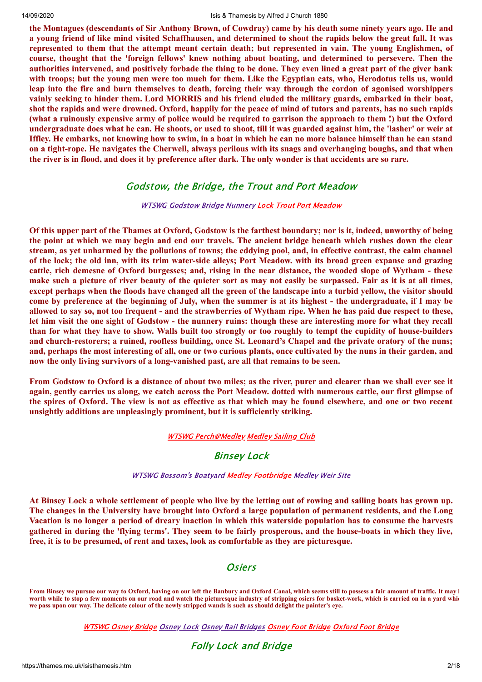the Montagues (descendants of Sir Anthony Brown, of Cowdray) came by his death some ninety years ago. He and a young friend of like mind visited Schaffhausen, and determined to shoot the rapids below the great fall. It was represented to them that the attempt meant certain death; but represented in vain. The young Englishmen, of **course, thought that the 'foreign fellows' knew nothing about boating, and determined to persevere. Then the** authorities intervened, and positively forbade the thing to be done. They even lined a great part of the giver bank with troops; but the young men were too mueh for them. Like the Egyptian cats, who, Herodotus tells us, would leap into the fire and burn themselves to death, forcing their way through the cordon of agonised worshippers vainly seeking to hinder them. Lord MORRIS and his friend eluded the military guards, embarked in their boat, shot the rapids and were drowned. Oxford, happily for the peace of mind of tutors and parents, has no such rapids (what a ruinously expensive army of police would be required to garrison the approach to them!) but the Oxford undergraduate does what he can. He shoots, or used to shoot, till it was guarded against him, the 'lasher' or weir at Iffley. He embarks, not knowing how to swim, in a boat in which he can no more balance himself than he can stand on a tight-rope. He navigates the Cherwell, always perilous with its snags and overhanging boughs, and that when the river is in flood, and does it by preference after dark. The only wonder is that accidents are so rare.

# Godstow, the Bridge, the Trout and Port Meadow

## **WTSWG [Godstow](https://thames.me.uk/s01870.htm) Bridge [Nunnery](https://thames.me.uk/s01860.htm) [Lock](https://thames.me.uk/s01850.htm) [Trout](https://thames.me.uk/s01840.htm) Port [Meadow](https://thames.me.uk/s01835.htm)**

Of this upper part of the Thames at Oxford, Godstow is the farthest boundary; nor is it, indeed, unworthy of being the point at which we may begin and end our travels. The ancient bridge beneath which rushes down the clear stream, as yet unharmed by the pollutions of towns; the eddying pool, and, in effective contrast, the calm channel of the lock; the old inn, with its trim water-side alleys; Port Meadow. with its broad green expanse and grazing cattle, rich demesne of Oxford burgesses; and, rising in the near distance, the wooded slope of Wytham - these make such a picture of river beauty of the quieter sort as may not easily be surpassed. Fair as it is at all times, except perhaps when the floods have changed all the green of the landscape into a turbid vellow, the visitor should come by preference at the beginning of July, when the summer is at its highest - the undergraduate, if I may be allowed to say so, not too frequent - and the strawberries of Wytham ripe. When he has paid due respect to these, let him visit the one sight of Godstow - the nunnery ruins: though these are interesting more for what they recall than for what they have to show. Walls built too strongly or too roughly to tempt the cupidity of house-builders and church-restorers; a ruined, roofless building, once St. Leonard's Chapel and the private oratory of the nuns; and, perhaps the most interesting of all, one or two curious plants, once cultivated by the nuns in their garden, and **now the only living survivors of a long-vanished past, are all that remains to be seen.**

From Godstow to Oxford is a distance of about two miles; as the river, purer and clearer than we shall ever see it again, gently carries us along, we catch across the Port Meadow. dotted with numerous cattle, our first glimpse of the spires of Oxford. The view is not as effective as that which may be found elsewhere, and one or two recent **unsightly additions are unpleasingly prominent, but it is sufficiently striking.**

## WTSWG [Perch@Medley](https://thames.me.uk/s01830.htm) [Medley](https://thames.me.uk/s01820.htm) Sailing Club

# Binsey Lock

## WTSWG [Bossom's](https://thames.me.uk/s01818.htm) Boatyard Medley [Footbridge](https://thames.me.uk/s01810.htm) [Medley](https://thames.me.uk/s01800.htm) Weir Site

At Binsey Lock a whole settlement of people who live by the letting out of rowing and sailing boats has grown up. The changes in the University have brought into Oxford a large population of permanent residents, and the Long Vacation is no longer a period of dreary inaction in which this waterside population has to consume the harvests gathered in during the 'flying terms'. They seem to be fairly prosperous, and the house-boats in which they live, **free, it is to be presumed, of rent and taxes, look as comfortable as they are picturesque.**

# **Osiers**

**From Binsey we pursue our way to Oxford, having on our left the Banbury and Oxford Canal, which seems still to possess a fair amount of traffic. It may b worth while to stop a few moments on our road and watch the picturesque industry of stripping osiers for basket-work, which is carried on in a yard whic we pass upon our way. The delicate colour of the newly stripped wands is such as should delight the painter's eye.**

[WTSWG](https://thames.me.uk/s01770.htm) Osney Bridge [Osney](https://thames.me.uk/s01760.htm) Lock Osney Rail [Bridges](https://thames.me.uk/s01740.htm) Osney Foot [Bridge](https://thames.me.uk/s01720.htm) [Oxford](https://thames.me.uk/s01720.htm) Foot Bridge

# Folly Lock and Bridge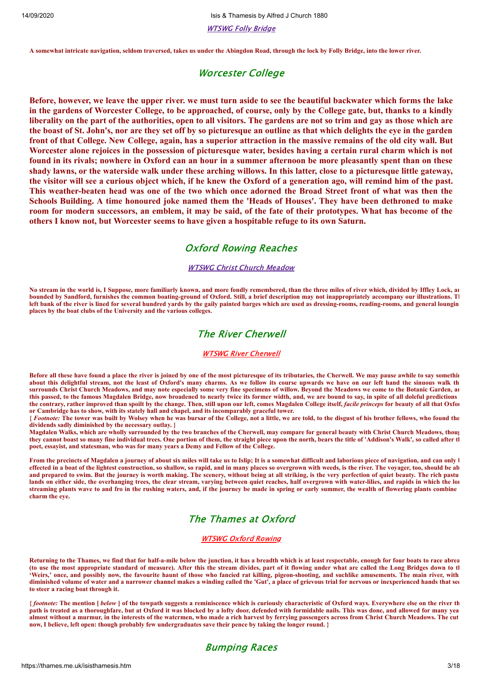14/09/2020 Isis & Thamesis by Alfred J Church 1880

[WTSWG](https://thames.me.uk/s01690.htm) Folly Bridge

**A somewhat intricate navigation, seldom traversed, takes us under the Abingdon Road, through the lock by Folly Bridge, into the lower river.**

# Worcester College

Before, however, we leave the upper river. we must turn aside to see the beautiful backwater which forms the lake in the gardens of Worcester College, to be approached, of course, only by the College gate, but, thanks to a kindly liberality on the part of the authorities, open to all visitors. The gardens are not so trim and gay as those which are the boast of St. John's, nor are they set off by so picturesque an outline as that which delights the eye in the garden front of that College. New College, again, has a superior attraction in the massive remains of the old city wall. But Worcester alone rejoices in the possession of picturesque water, besides having a certain rural charm which is not found in its rivals; nowhere in Oxford can an hour in a summer afternoon be more pleasantly spent than on these shady lawns, or the waterside walk under these arching willows. In this latter, close to a picturesque little gateway, the visitor will see a curious object which, if he knew the Oxford of a generation ago, will remind him of the past. This weather-beaten head was one of the two which once adorned the Broad Street front of what was then the Schools Building. A time honoured joke named them the 'Heads of Houses'. They have been dethroned to make room for modern successors, an emblem, it may be said, of the fate of their prototypes. What has become of the **others I know not, but Worcester seems to have given a hospitable refuge to its own Saturn.**

# Oxford Rowing Reaches

### WTSWG Christ Church [Meadow](https://thames.me.uk/s01680.htm)

**No stream in the world is, I Suppose, more familiarly known, and more fondly remembered, than the three miles of river which, divided by Iffley Lock, an bounded by Sandford, furnishes the common boating-ground of Oxford. Still, a brief description may not inappropriately accompany our illustrations. Th left bank of the river is lined for several hundred yards by the gaily painted barges which are used as dressing-rooms, reading-rooms, and general loungin places by the boat clubs of the University and the various colleges.**

# The River Cherwell

### WTSWG River [Cherwell](https://thames.me.uk/s02408.htm)

**Before all these have found a place the river is joined by one of the most picturesque of its tributaries, the Cherwell. We may pause awhile to say somethin about this delightful stream, not the least of Oxford's many charms. As we follow its course upwards we have on our left hand the sinuous walk th surrounds Christ Church Meadows, and may note especially some very fine specimens of willow. Beyond the Meadows we come to the Botanic Garden, an this passed, to the famous Magdalen Bridge, now broadened to nearly twice its former width, and, we are bound to say, in spite of all doleful predictions the contrary, rather improved than spoilt by the change. Then, still upon our left, comes Magdalen College itself,** *facile princeps* **for beauty of all that Oxfor or Cambridge has to show, with its stately hall and chapel, and its incomparably graceful tower.**

**{** *Footnote:* **The tower was built by Wolsey when he was bursar of the College, not a little, we are told, to the disgust of his brother fellows, who found the dividends sadly diminished by the necessary outlay. }**

**Magdalen Walks, which are wholly surrounded by the two branches of the Cherwell, may compare for general beauty with Christ Church Meadows, thoug they cannot boast so many fine individual trees. One portion of them, the straight piece upon the north, bears the title of 'Addison's Walk', so called after th poet, essayist, and statesman, who was for many years a Demy and Fellow of the College.**

**From the precincts of Magdalen a journey of about six miles will take us to Islip; It is a somewhat difficult and laborious piece of navigation, and can only b effected in a boat of the lightest construction, so shallow, so rapid, and in many places so overgrown with weeds, is the river. The voyager, too, should be ab and prepared to swim. But the journey is worth making. The scenery, without being at all striking, is the very perfection of quiet beauty. The rich pastu lands on either side, the overhanging trees, the clear stream, varying between quiet reaches, half overgrown with water-lilies, and rapids in which the lon streaming plants wave to and fro in the rushing waters, and, if the journey be made in spring or early summer, the wealth of flowering plants combine charm the eye.**

# The Thames at Oxford

## [WTSWG](https://thames.me.uk/s01630.htm) Oxford Rowing

**Returning to the Thames, we find that for half-a-mile below the junction, it has a breadth which is at least respectable, enough for four boats to race abrea (to use the most appropriate standard of measure). After this the stream divides, part of it flowing under what are called the Long Bridges down to th 'Weirs,' once, and possibly now, the favourite haunt of those who fancied rat killing, pigeon-shooting, and suchlike amusements. The main river, with diminished volume of water and a narrower channel makes a winding called the 'Gut', a place of grievous trial for nervous or inexperienced hands that see to steer a racing boat through it.**

**{** *footnote:* **The mention [** *below* **] of the towpath suggests a reminiscence which is curiously characteristic of Oxford ways. Everywhere else on the river th path is treated as a thoroughfare, but at Oxford it was blocked by a lofty door, defended with formidable nails. This was done, and allowed for many yea almost without a murmur, in the interests of the watcrmen, who made a rich harvest by ferrying passengers across from Christ Church Meadows. The cut now, I believe, left open: though probably few undergraduates save their pence by taking the longer round. }**

## Bumping Races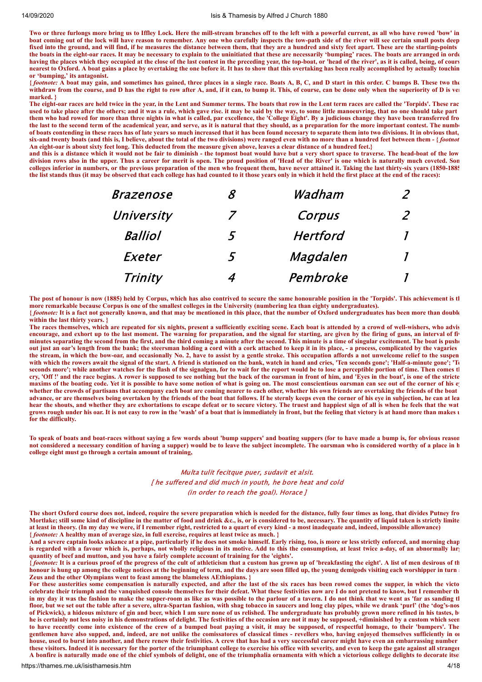**Two or three furlongs more bring us to Iffley Lock. Here the mill-stream branches off to the left with a powerful current, as all who have rowed 'bow' in boat coming out of the lock will have reason to remember. Any one who carefully inspects the tow-path side of the river will see certain small posts deep fixed into the ground, and will find, if he measures the distance between them, that they are a hundred and sixty feet apart. These are the starting-points the boats in the eight-oar races. It may be necessary to explain to the uninitiated that these are necessarily 'bumping' races. The boats are arranged in orde having the places which they occupied at the close of the last contest in the preceding year, the top-boat, or 'head of the river', as it is called, being, of cours nearest to Oxford. A boat gains a place by overtaking the one before it. It has to show that this overtaking has been really accomplished by actually touchin or 'bumping,' its antagonist.**

**{** *footnote:* **A boat may gain, and sometimes has gained, three places in a single race. Boats A, B, C, and D start in this order. C bumps B. These two the withdraw from the course, and D has the right to row after A, and, if it can, to bump it. This, of course, can be done only when the superiority of D is ver marked. }**

**The eight-oar races are held twice in the year, in the Lent and Summer terms. The boats that row in the Lent term races are called the 'Torpids'. These rac used to take place after the others; and it was a rule, which gave rise. it may be said by the way, to some little manoeuvring, that no one should take part them who had rowed for more than three nights in what is called, par excellence, the 'College Eight'. By a judicious change they have been transferred fro the last to the second term of the academical year, and serve, as it is natural that they should, as a preparation for the more important contest. The numbe of boats contending in these races has of late years so much increased that it has been found necesary to separate them into two divisions. It in obvious that, six-and twenty boats (and this is, I believe, about the total of the two divisions) were ranged even with no more than a hundred feet between them - {** *footnot* **An eight-oar is about sixty feet long. This deducted from the measure given above, leaves a clear distance of a hundred feet.}**

**and this is a distance which it would not be fair to diminish - the topmost boat would have but a very short space to traverse. The head-boat of the low division rows also in the upper. Thus a career for merit is open. The proud position of 'Head of the River' is one which is naturally much coveted. Som colleges inferior in numbers, or the previous preparation of the men who frequent them, have never attained it. Taking the last thirty-six years (1850-1885 the list stands thus (it may be observed that each college has had counted to it those years only in which it held the first place at the end of the races):**

| <b>Brazenose</b> | R | Wadham          |              |
|------------------|---|-----------------|--------------|
| University       | 7 | Corpus          | $\mathcal P$ |
| <b>Balliol</b>   | 5 | <b>Hertford</b> |              |
| Exeter           | 5 | Magdalen        |              |
| Trinity          |   | Pembroke        |              |

**The post of honour is now (1885) held by Corpus, which has also contrived to secure the same honourable position in the 'Torpids'. This achievement is th more remarkable because Corpus is one of the smallest colleges in the University (numbering lea than eighty undergraduates). {** *footnote:* **It is a fact not generally known, and that may be mentioned in this place, that the number of Oxford undergraduates has been more than double**

**within the last thirty years. }** The races themselves, which are repeated for six nights, present a sufficiently exciting scene. Each boat is attended by a crowd of well-wishers, who advis

**encourage, and exhort up to the last moment. The warning for preparation, and the signal for starting, are given by the firing of guns, an interval of fiv minutes separating the second from the first, and the third coming a minute after the second. This minute is a time of singular excitement. The boat is pushe out just an oar's length from the bank; the steersman holding a cord with a cork attached to keep it in its place, - a process, complicated by the vagaries the stream, in which the bow-oar, and occasionally No. 2, have to assist by a gentle stroke. This occupation affords a not unwelcome relief to the suspen** with which the rowers await the signal of the start. A friend is stationed on the bank, watch in hand and cries, 'Ten seconds gone'; 'Half-a-minute gone'; 'Te **seconds more'; while another watches for the flash of the signalgun, for to wait for the report would be to lose a perceptible portion of time. Then comes th cry, 'Off !' and the race begins. A rower is supposed to see nothing but the back of the oarsman in front of him, and 'Eyes in the boat', is one of the stricte maxims of the boating code. Yet it is possible to have some notion of what is going on. The most conscientious oarsman can see out of the corner of his ey whether the crowds of partisans that accompany each boat are coming nearer to each other, whether his own friends are overtaking the friends of the boat advance, or are themselves being overtaken by the friends of the boat that follows. If he sternly keeps even the corner of his eye in subjection, he can at lea hear the shouts, and whether they are exhortations to escape defeat or to secure victory. The truest and happiest sign of all is when he feels that the wat grows rough under his oar. It is not easy to row in the 'wash' of a boat that is immediately in front, but the feeling that victory is at hand more than makes u for the difficulty.**

**To speak of boats and boat-races without saying a few words about 'bump suppers' and boating suppers (for to have made a bump is, for obvious reason not considered a necessary condition of having a supper) would be to leave the subject incomplete. The oarsman who is considered worthy of a place in h college eight must go through a certain amount of training,**

## Multa tulit fecitque puer, sudavit et alsit. [ he suffered and did much in youth, he bore heat and cold (in order to reach the goal). Horace ]

**The short Oxford course does not, indeed, require the severe preparation which is needed for the distance, fully four times as long, that divides Putney fro Mortlake; still some kind of discipline in the matter of food and drink &c., is, or is considered to be, necessary. The quantity of liquid taken is strictly limite at least in theory. (In my day we were, if I remember right, restricted to a quart of every kind - a most inadequate and, indeed, impossible allowance) {** *footnote:* **A healthy man of average size, in full exercise, requires at least twice as much. }**

**And a severe captain looks askance at a pipe, particularly if he does not smoke himself. Early rising, too, is more or less strictly enforced, and morning chap is regarded with a favour which is, perhaps, not wholly religious in its motive. Add to this the consumption, at least twice a-day, of an abnormally larg quantity of beef and mutton, and you have a fairly complete account of training for the 'eights'.**

**{** *footnote:* **It is a curious proof of the progress of the cult of athleticism that a custom has grown up of 'breakfasting the eight'. A list of men desirous of th** honour is hung up among the college notices at the beginning of term, and the days are soon filled up, the young demigods visiting each worshipper in turn and **Zeus and the other Olympians went to feast among the blameless AEthiopians. }**

**For these austerities some compensation is naturally expected, and after the last of the six races has been rowed comes the supper, in which the victo celebrate their triumph and the vanquished console themselves for their defeat. What these festivities now are I do not pretend to know, but I remember th in my day it was the fashion to make the supper-room as like as was possible to the parlour of a tavern. I do not think that we went as 'far as sanding th floor, but we set out the table after a severe, ultra-Spartan fashion, with shag tobacco in saucers and long clay pipes, while we drank 'purl' (the 'dog's-nos of Pickwick), a hideous mixture of gin and beer, which I am sure none of us relished. The undergraduate has probably grown more refined in his tastes, bu he is certainly not less noisy in his demonstrations of delight. The festivities of the occasion are not it may be supposed, +diminished by a custom which seem to have recently come into existence of the crew of a bumped boat paying a visit, it may be supposed, of respectful homage, to their 'bumpers'. The gentlemen have also supped, and, indeed, are not unlike the comissatores of classical times - revellers who, having enjoyed themselves sufficiently in on house, used to burst into another, and there renew their festivities. A crew that has had a very successful career might have even an embarrassing number these visitors. Indeed it is necessary for the porter of the triumphant college to exercise his office with severity, and even to keep the gate against all stranger A bonfire is naturally made one of the chief symbols of delight, one of the triumphalia ornamenta with which a victorious college delights to decorate itsel**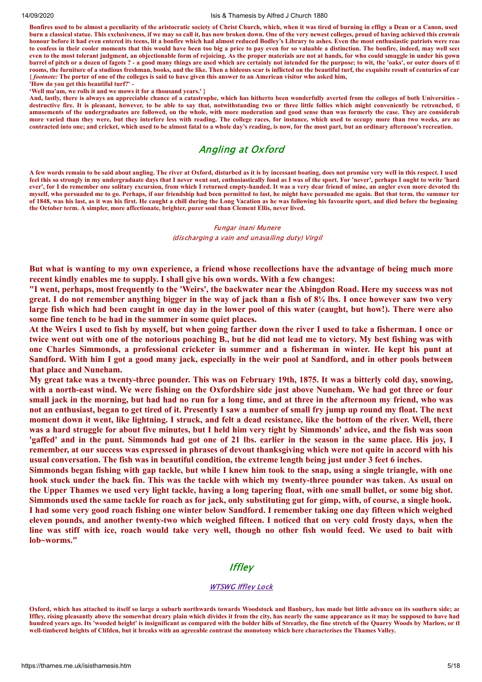#### 14/09/2020 Isis & Thamesis by Alfred J Church 1880

**Bonfires used to be almost a peculiarity of the aristocratic society of Christ Church, which, when it was tired of burning in effigy a Dean or a Canon, used burn a classical statue. This exclusiveness, if we may so call it, has now broken down. One of the very newest colleges, proud of having achieved this crownin honour before it had even entered its teens, lit a bonfire which had almost reduced Bodley's Library to ashes. Even the most enthusiastic patriots were read to confess in their cooler moments that this would have been too big a price to pay even for so valuable a distinction. The bonfire, indeed, may well seem even to the most tolerant judgment, an objectionable form of rejoicing. As the proper materials are not at hands, for who could smuggle in under his gown barrel of pitch or a dozen of fagots ? - a good many things are used which are certainly not intended for the purpose; to wit, the 'oaks', or outer doors of th rooms, the furniture of a studious freshman, books, and the like. Then a hideous scar is inflicted on the beautiful turf, the exquisite result of centuries of car {** *footnote:* **The porter of one of the colleges is said to have given this answer to an American visitor who asked him, 'How do you get this beautiful turf?' -**

**'Well ma'am, we rolls it and we mows it for a thousand years.' }**

**And, lastly, there is always an appreciable chance of a catastrophe, which has hitherto been wonderfully averted from the colleges of both Universities destructive fire. It is pleasant, however, to be able to say that, notwithstanding two or three little follies which might conveniently be retrenched, th amusements of the undergraduates are followed, on the whole, with more moderation and good sense than was formerly the case. They are considerab more varied than they were, but they interfere less with reading. The college races, for instance, which used to occupy more than two weeks, are no contracted into one; and cricket, which used to be almost fatal to a whole day's reading, is now, for the most part, but an ordinary afternoon's recreation.**

# Angling at Oxford

**A few words remain to be said about angling. The river at Oxford, disturbed as it is by incessant boating, does not promise very welI in this respect. I used feel this so strongly in my undergraduate days that I never went out, enthusiastically fond as I was of the sport. For 'never', perhaps I ought to write 'hard ever', for I do remember one solitary excursion, from which I returned empty-handed. It was a very dear friend of mine, an angler even more devoted tha myself, who persuaded me to go. Perhaps, if our friendship had been permitted to last, he might have persuaded me again. But that term, the summer ter of 1848, was his last, as it was his first. He caught a chill during the Long Vacation as he was following his favourite sport, and died before the beginning the October term. A simpler, more affectionate, brighter, purer soul than Clement Ellis, never lived.**

> Fungar inani Munere (discharging a vain and unavailing duty) Virgil

But what is wanting to my own experience, a friend whose recollections have the advantage of being much more **recent kindly enables me to supply. I shall give his own words. With a few changes:**

"I went, perhaps, most frequently to the 'Weirs', the backwater near the Abingdon Road. Here my success was not great. I do not remember anything bigger in the way of jack than a fish of 8<sup>1</sup>/4 lbs. I once however saw two very large fish which had been caught in one day in the lower pool of this water (caught, but how!). There were also **some fine tench to be had in the summer in some quiet places.**

At the Weirs I used to fish by myself, but when going farther down the river I used to take a fisherman. I once or twice went out with one of the notorious poaching B., but he did not lead me to victory. My best fishing was with one Charles Simmonds, a professional cricketer in summer and a fisherman in winter. He kept his punt at Sandford. With him I got a good many jack, especially in the weir pool at Sandford, and in other pools between **that place and Nuneham.**

My great take was a twenty-three pounder. This was on February 19th, 1875. It was a bitterly cold day, snowing, with a north-east wind. We were fishing on the Oxfordshire side just above Nuneham. We had got three or four small jack in the morning, but had had no run for a long time, and at three in the afternoon my friend, who was not an enthusiast, began to get tired of it. Presently I saw a number of small fry jump up round my float. The next moment down it went, like lightning. I struck, and felt a dead resistance, like the bottom of the river. Well, there was a hard struggle for about five minutes, but I held him very tight by Simmonds' advice, and the fish was soon 'gaffed' and in the punt. Simmonds had got one of 21 lbs. earlier in the season in the same place. His joy, I remember, at our success was expressed in phrases of devout thanksgiving which were not quite in accord with his usual conversation. The fish was in beautiful condition, the extreme length being just under 3 feet 6 inches.

Simmonds began fishing with gap tackle, but while I knew him took to the snap, using a single triangle, with one hook stuck under the back fin. This was the tackle with which my twenty-three pounder was taken. As usual on the Upper Thames we used very light tackle, having a long tapering float, with one small bullet, or some big shot. Simmonds used the same tackle for roach as for jack, only substituting gut for gimp, with, of course, a single hook. I had some very good roach fishing one winter below Sandford. I remember taking one day fifteen which weighed eleven pounds, and another twenty-two which weighed fifteen. I noticed that on very cold frosty days, when the line was stiff with ice, roach would take very well, though no other fish would feed. We used to bait with **lob~worms."**

## **Iffley**

#### **[WTSWG](https://thames.me.uk/s01620.htm) Iffley Lock**

**Oxford, which has attached to itself so large a suburb northwards towards Woodstock and Banbury, has made but little advance on its southern side; an Iffley, rising pleasantly above the somewhat dreary plain which divides it from the city, has nearly the same appearance as it may be supposed to have had hundred years ago. Its 'wooded height' is insignificant as compared with the bolder hills of Streatley, the fine stretch of the Quarry Woods by Marlow, or th well-timbered heights of Clifden, but it breaks with an agreeable contrast the monotony which here characterises the Thames Valley.**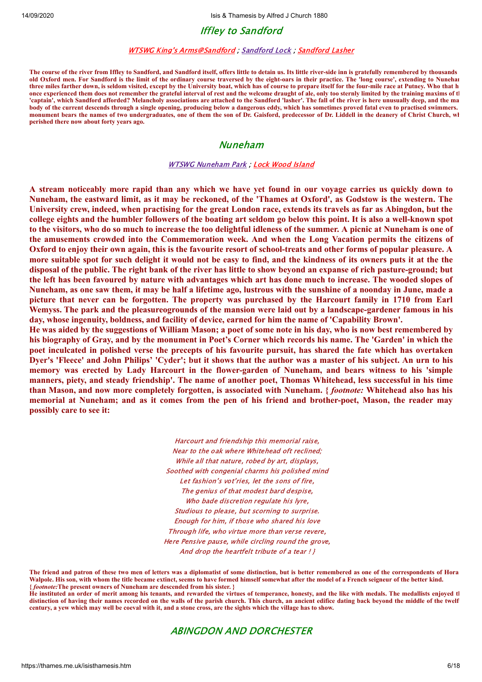# Iffley to Sandford

### WTSWG King's [Arms@Sandford](https://thames.me.uk/s01575.htm) ; [Sandford](https://thames.me.uk/s01570.htm) Lock ; [Sandford](https://thames.me.uk/s01569.htm) Lasher

**The course of the river from Iffley to Sandford, and Sandford itself, offers little to detain us. Its little river-side inn is gratefully remembered by thousands old Oxford men. For Sandford is the limit of the ordinary course traversed by the eight-oars in their practice. The 'long course', extending to Nuneham three miles farther down, is seldom visited, except by the University boat, which has of course to prepare itself for the four-mile race at Putney. Who that h once experienced them does not remember the grateful interval of rest and the welcome draught of ale, only too sternly limited by the training maxims of th 'captain', which Sandford afforded? Melancholy associations are attached to the Sandford 'lasher'. The fall of the river is here unusually deep, and the ma body of the current descends through a single opening, producing below a dangerous eddy, which has sometimes proved fatal even to practised swimmers. monument bears the names of two undergraduates, one of them the son of Dr. Gaisford, predecessor of Dr. Liddell in the deanery of Christ Church, wh perished there now about forty years ago.**

## Nuneham

## WTSWG [Nuneham](https://thames.me.uk/s01550.htm) Park ; Lock Wood [Island](https://thames.me.uk/s01540.htm)

A stream noticeably more rapid than any which we have yet found in our voyage carries us quickly down to Nuneham, the eastward limit, as it may be reckoned, of the 'Thames at Oxford', as Godstow is the western. The University crew, indeed, when practising for the great London race, extends its travels as far as Abingdon, but the college eights and the humbler followers of the boating art seldom go below this point. It is also a well-known spot to the visitors, who do so much to increase the too delightful idleness of the summer. A picnic at Nuneham is one of **the amusements crowded into the Commemoration week. And when the Long Vacation permits the citizens of** Oxford to enjoy their own again, this is the favourite resort of school-treats and other forms of popular pleasure. A more suitable spot for such delight it would not be easy to find, and the kindness of its owners puts it at the the disposal of the public. The right bank of the river has little to show beyond an expanse of rich pasture-ground; but the left has been favoured by nature with advantages which art has done much to increase. The wooded slopes of Nuneham, as one saw them, it may be half a lifetime ago, lustrous with the sunshine of a noonday in June, made a picture that never can be forgotten. The property was purchased by the Harcourt family in 1710 from Earl Wemyss. The park and the pleasureogrounds of the mansion were laid out by a landscape-gardener famous in his **day, whose ingenuity, boldness, and facility of device, earned for him the name of 'Capability Brown'.**

He was aided by the suggestions of William Mason; a poet of some note in his day, who is now best remembered by his biography of Gray, and by the monument in Poet's Corner which records his name. The 'Garden' in which the poet inculcated in polished verse the precepts of his favourite pursuit, has shared the fate which has overtaken Dyer's 'Fleece' and John Philips' 'Cyder'; but it shows that the author was a master of his subject. An urn to his **memory was erected by Lady Harcourt in the flower-garden of Nuneham, and bears witness to his 'simple** manners, piety, and steady friendship'. The name of another poet, Thomas Whitehead, less successful in his time than Mason, and now more completely forgotten, is associated with Nuneham. { footnote: Whitehead also has his memorial at Nuneham; and as it comes from the pen of his friend and brother-poet, Mason, the reader may **possibly care to see it:**

> Harcourt and friendship this memorial raise, Near to the oak where Whitehead oft reclined; While all that nature, robed by art, displays, Soothed with congenial charms his polished mind Let fashion's vot'ries, let the sons of fire, The genius of that modest bard despise, Who bade discretion regulate his lyre, Studious to please, but scorning to surprise. Enough for him, if those who shared his love Through life, who virtue more than verse revere, Here Pensive pause, while circling round the grove, And drop the heartfelt tribute of a tear ! }

**The friend and patron of these two men of letters was a diplomatist of some distinction, but is better remembered as one of the correspondents of Hora Walpole. His son, with whom the title became extinct, seems to have formed himself somewhat after the model of a French seigneur of the better kind. {** *footnote:***The present owners of Nuneham are descended from his sister. }**

**He instituted an order of merit among his tenants, and rewarded the virtues of temperance, honesty, and the like with medals. The medallists enjoyed th** distinction of having their names recorded on the walls of the parish church. This church, an ancient edifice dating back beyond the middle of the twelf **century, a yew which may well be coeval with it, and a stone cross, are the sights which the village has to show.**

## ABINGDON AND DORCHESTER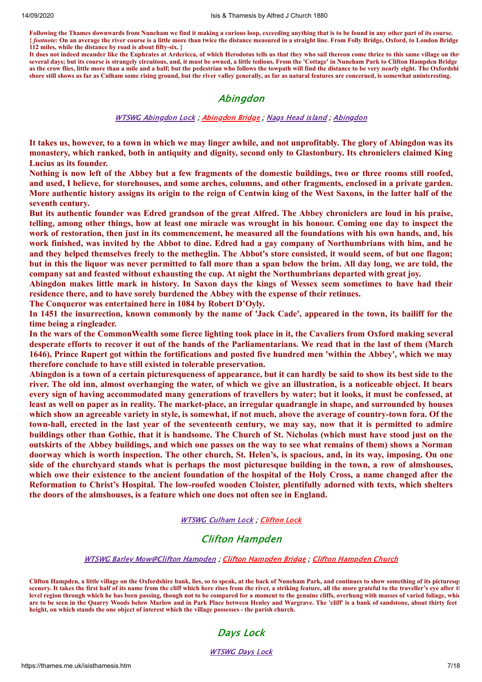**Following the Thames downwards from Nuneham we find it making a curious loop, exceeding anything that is to be found in any other part of its course. {** *footnote:* **On an average the river course is a little more than twice the distance measured in a straight line. From Folly Bridge, Oxford, to London Bridge 112 miles, while the distance by road is about fifty-six. }**

**It does not indeed meander like the Euphrates at Ardericca, of which Herodotus tells us that they who sail thereon come thrice to this same village on thre several days; but its course is strangely circuitous, and, it must be owned, a little tedious. From the 'Cottage' in Nuneham Park to Clifton Hampden Bridge as the crow flies, little more than a mile and a half; but the pedestrian who follows the towpath will find the distance to be very nearly eight. The Oxfordshi shore still shows as far as Culham some rising ground, but the river valley generally, as far as natural features are concerned, is somewhat uninteresting.**

# Abingdon

## WTSWG [Abingdon](https://thames.me.uk/s01520.htm) Lock ; [Abingdon](https://thames.me.uk/s01510.htm) Bridge ; Nags Head [island](https://thames.me.uk/s01505.htm) ; [Abingdon](https://thames.me.uk/s01500.htm)

It takes us, however, to a town in which we may linger awhile, and not unprofitably. The glory of Abingdon was its **monastery, which ranked, both in antiquity and dignity, second only to Glastonbury. Its chroniclers claimed King Lucius as its founder.**

Nothing is now left of the Abbey but a few fragments of the domestic buildings, two or three rooms still roofed, and used. I believe, for storehouses, and some arches, columns, and other fragments, enclosed in a private garden. More authentic history assigns its origin to the reign of Centwin king of the West Saxons, in the latter half of the **seventh century.**

But its authentic founder was Edred grandson of the great Alfred. The Abbey chroniclers are loud in his praise, telling, among other things, how at least one miracle was wrought in his honour. Coming one day to inspect the work of restoration, then just in its commencement, he measured all the foundations with his own hands, and, his work finished, was invited by the Abbot to dine. Edred had a gay company of Northumbrians with him, and he and they helped themselves freely to the metheglin. The Abbot's store consisted, it would seem, of but one flagon: but in this the liquor was never permitted to fall more than a span below the brim. All day long, we are told, the **company sat and feasted without exhausting the cup. At night the Northumbrians departed with great joy.**

Abingdon makes little mark in history. In Saxon days the kings of Wessex seem sometimes to have had their **residence there, and to have sorely burdened the Abbey with the expense of their retinues.**

**The Conqueror was entertained here in 1084 by Robert D'Oyly.**

In 1451 the insurrection, known commonly by the name of 'Jack Cade', appeared in the town, its bailiff for the **time being a ringleader.**

In the wars of the CommonWealth some fierce lighting took place in it, the Cavaliers from Oxford making several desperate efforts to recover it out of the hands of the Parliamentarians. We read that in the last of them (March 1646), Prince Rupert got within the fortifications and posted five hundred men 'within the Abbey', which we may **therefore conclude to have still existed in tolerable preservation.**

Abingdon is a town of a certain pictures queness of appearance, but it can hardly be said to show its best side to the river. The old inn, almost overhanging the water, of which we give an illustration, is a noticeable object. It bears every sign of having accommodated many generations of travellers by water; but it looks, it must be confessed, at least as well on paper as in reality. The market-place, an irregular quadrangle in shape, and surrounded by houses which show an agreeable variety in style, is somewhat, if not much, above the average of country-town fora. Of the town-hall, erected in the last year of the seventeenth century, we may say, now that it is permitted to admire buildings other than Gothic, that it is handsome. The Church of St. Nicholas (which must have stood just on the outskirts of the Abbey buildings, and which one passes on the way to see what remains of them) shows a Norman doorway which is worth inspection. The other church, St. Helen's, is spacious, and, in its way, imposing. On one side of the churchyard stands what is perhaps the most picturesque building in the town, a row of almshouses, which owe their existence to the ancient foundation of the hospital of the Holy Cross, a name changed after the **Reformation to Christ's Hospital. The low-roofed wooden Cloister, plentifully adorned with texts, which shelters the doors of the almshouses, is a feature which one does not often see in England.**

## WTSWG [Culham](https://thames.me.uk/s01470.htm) Lock ; [Clifton](https://thames.me.uk/s01430.htm) Lock

# Clifton Hampden

## WTSWG Barley [Mow@Clifton](https://thames.me.uk/s01410.htm) Hampden ; Clifton [Hampden](https://thames.me.uk/s01400.htm) Bridge ; Clifton [Hampden](https://thames.me.uk/s01390.htm) Church

**Clifton Hampden, a little village on the Oxfordshire bank, lies, so to speak, at the back of Nuneham Park, and continues to show something of its picturesqu** scenery. It takes the first half of its name from the cliff which here rises from the river, a striking feature, all the more grateful to the traveller's eye after the **level region through which he has been passing, though not to be compared for a moment to the genuine cliffs, overhung with masses of varied foliage, whic are to be seen in the Quarry Woods below Marlow and in Park Place between Henley and Wargrave. The 'cliff' is a bank of sandstone, about thirty feet height, on which stands the one object of interest which the village possesses - the parish church.**

# Days Lock

# [WTSWG](https://thames.me.uk/s01370.htm) Days Lock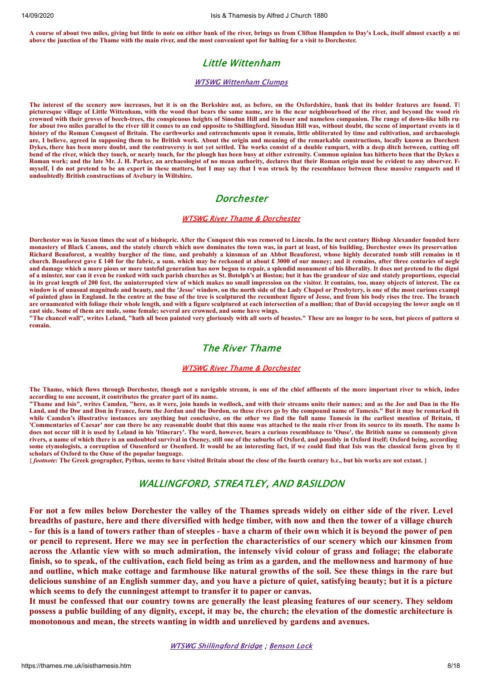**A course of about two miles, giving but little to note on either bank of the river, brings us from Clifton Hampden to Day's Lock, itself almost exactly a mi above the junction of the Thame with the main river, and the most convenient spot for halting for a visit to Dorchester.**

# Little Wittenham

### WTSWG [Wittenham](https://thames.me.uk/s01365.htm) Clumps

**The interest of the scenery now increases, but it is on the Berkshire not, as before, on the Oxfordshire, bank that its bolder features are found. Th picturesque village of Little Wittenham, with the wood that bears the same name, are in the near neighbourhood of the river, and beyond the wood ris crowned with their groves of beech-trees, the conspicuous heights of Sinodun Hill and its lesser and nameless companion. The range of down-like hills run for about two miles parallel to the river till it comes to an end opposite to Shillingford. Sinodun Hill was, without doubt, the scene of important events in th history of the Roman Conquest of Britain. The earthworks and entrenchments upon it remain, little obliterated by time and cultivation, and archaeologis** are, I believe, agreed in supposing them to be British work. About the origin and meaning of the remarkable constructions, locally known as Dorchest **Dykes, there has been more doubt, and the controversy is not yet settled. The works consist of a double rampart, with a deep ditch between, cutting off bend of the river, which they touch, or nearly touch, for the plough has been busy at either extremity. Common opinion has hitherto been that the Dykes a** Roman work; and the late Mr. J. H. Parker, an archaeologist of no mean authority, declares that their Roman origin must be evident to any observer. For **myself, I do not pretend to be an expert in these matters, but I may say that I was struck by the resemblance between these massive ramparts and th undoubtedly British constructions of Avebury in Wiltshire.**

# **Dorchester**

## WTSWG River Thame & [Dorchester](https://thames.me.uk/s01360.htm)

**Dorchester was in Saxon times the seat of a bishopric. After the Conquest this was removed to Lincoln. In the next century Bishop Alexander founded here monastery of Black Canons, and the stately church which now dominates the town was, in part at least, of his building. Dorchester owes its preservation Richard Beauforest, a wealthy burgher of the time, and probably a kinsman of an Abbot Beauforest, whose highly decorated tomb still remains in th church. Beauforest gave £ 140 for the fabric, a sum. which may be reckoned at about £ 3000 of our money; and it remains, after three centuries of negle and damage which a more pious or more tasteful generation has now begun to repair, a splendid monument of his liberality. It does not pretend to the digni of a minster, nor can it even be ranked with such parish churches as St. Botolph's at Boston; but it has the grandeur of size and stately proportions, especial in its great length of 200 feet, the uninterrupted view of which makes no small impression on the visitor. It contains, too, many objects of interest. The ea window is of unusual magnitude and beauty, and the 'Jesse' window, on the north side of the Lady Chapel or Presbytery, is one of the most curious exampl of painted glass in England. In the centre at the base of the tree is sculptured the recumbent figure of Jesse, and from his body rises the tree. The branch are ornamented with foliage their whole length, and with a figure sculptured at each intersection of a mullion; that of David occupying the lower angle on th east side. Some of them are male, some female; several are crowned, and some have wings.**

**"The chancel wall", writes Leland, "hath all been painted very gloriously with all sorts of beastes." These are no longer to be seen, but pieces of pattern st remain.**

# The River Thame

### WTSWG River Thame & [Dorchester](https://thames.me.uk/s01360.htm)

**The Thame, which flows through Dorchester, though not a navigable stream, is one of the chief affluents of the more important river to which, indee according to one account, it contributes the greater part of its name.**

**"Thame and Isis", writes Camden, "here, as it were, join hands in wedlock, and with their streams unite their names; and as the Jor and Dan in the Ho Land, and the Dor and Don in France, form the Jordan and the Dordon, so these rivers go by the compound name of Tamesis." But it may be remarked th while Camden's illustrative instances are anything but conclusive, on the other we find the full name Tamesis in the earliest mention of Britain, th 'Commentaries of Caesar' nor can there be any reasonable doubt that this name was attached to the main river from its source to its mouth. The name Is does not occur till it is used by Leland in his 'Itinerary'. The word, however, bears a curious resemblance to 'Ouse', the British name so commonly given rivers, a name of which there is an undoubted survival in Oseney, still one of the suburbs of Oxford, and possibly in Oxford itself; Oxford being, according some etymologists, a corruption of Ousenford or Osenford. It would be an interesting fact, if we could find that Isis was the classical form given by th scholars of Oxford to the Ouse of the popular language.**

**{** *footnote:* **The Greek geographer, Pythus, seems to have visited Britain about the close of the fourth century b.c., but his works are not extant. }**

# WALLINGFORD, STREATLEY, AND BASILDON

For not a few miles below Dorchester the valley of the Thames spreads widely on either side of the river. Level breadths of pasture, here and there diversified with hedge timber, with now and then the tower of a village church - for this is a land of towers rather than of steeples - have a charm of their own which it is beyond the power of pen or pencil to represent. Here we may see in perfection the characteristics of our scenery which our kinsmen from across the Atlantic view with so much admiration, the intensely vivid colour of grass and foliage; the elaborate finish, so to speak, of the cultivation, each field being as trim as a garden, and the mellowness and harmony of hue and outline, which make cottage and farmhouse like natural growths of the soil. See these things in the rare but delicious sunshine of an English summer day, and you have a picture of quiet, satisfying beauty; but it is a picture **which seems to defy the cunningest attempt to transfer it to paper or canvas.**

It must be confessed that our country towns are generally the least pleasing features of our scenery. They seldom possess a public building of any dignity, except, it may be, the church; the elevation of the domestic architecture is **monotonous and mean, the streets wanting in width and unrelieved by gardens and avenues.**

### WTSWG [Shillingford](https://thames.me.uk/s01350.htm) Bridge ; [Benson](https://thames.me.uk/s01340.htm) Lock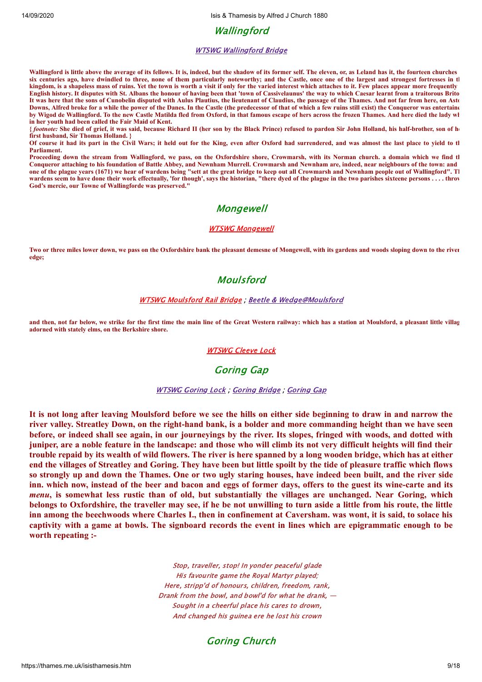Wallingford

### WTSWG [Wallingford](https://thames.me.uk/s01330.htm) Bridge

**Wallingford is little above the average of its fellows. It is, indeed, but the shadow of its former self. The eleven, or, as Leland has it, the fourteen churches six centuries ago, have dwindled to three, none of them particularly noteworthy; and the Castle, once one of the largest and strongest fortresses in th kingdom, is a shapeless mass of ruins. Yet the town is worth a visit if only for the varied interest which attaches to it. Few places appear more frequently English history. It disputes with St. Albans the honour of having been that 'town of Cassivelaunus' the way to which Caesar learnt from a traitorous Brito It was here that the sons of Cunobelin disputed with Aulus Plautius, the lieutenant of Claudius, the passage of the Thames. And not far from here, on Asto Downs, Alfred broke for a while the power of the Danes. In the Castle (the predecessor of that of which a few ruins still exist) the Conqueror was entertaine by Wigod de Wallingford. To the new Castle Matilda fled from Oxford, in that famous escape of hers across the frozen Thames. And here died the lady wh in her youth had been called the Fair Maid of Kent.**

**{** *footnote:* **She died of grief, it was said, because Richard II (her son by the Black Prince) refused to pardon Sir John Holland, his half-brother, son of he first husband, Sir Thomas Holland. }**

**Of course it had its part in the Civil Wars; it held out for the King, even after Oxford had surrendered, and was almost the last place to yield to th Parliament.**

**Proceeding down the stream from Wallingford, we pass, on the Oxfordshire shore, Crowmarsh, with its Norman church. a domain which we find th Conqueror attaching to his foundation of Battle Abbey, and Newnham Murrell. Crowmarsh and Newnham are, indeed, near neighbours of the town: and one of the plague years (1671) we hear of wardens being "sett at the great bridge to keep out all Crowmarsh and Newnham people out of Wallingford". Th** wardens seem to have done their work effectually, 'for though', says the historian, "there dyed of the plague in the two parishes sixteene persons . . . . throw **God's mercie, our Towne of Wallingforde was preserved."**

# **Mongewell**

## WTSWG [Mongewell](https://thames.me.uk/s01315.htm)

**Two or three miles lower down, we pass on the Oxfordshire bank the pleasant demesne of Mongewell, with its gardens and woods sloping down to the river edge;**

# Moulsford

### WTSWG [Moulsford](https://thames.me.uk/s01300.htm) Rail Bridge ; Beetle & [Wedge@Moulsford](https://thames.me.uk/s01290.htm)

**and then, not far below, we strike for the first time the main line of the Great Western railway: which has a station at Moulsford, a pleasant little villag adorned with stately elms, on the Berkshire shore.**

### [WTSWG](https://thames.me.uk/s01280.htm) Cleeve Lock

# Goring Gap

### [WTSWG](https://thames.me.uk/s01270.htm) Goring Lock ; [Goring](https://thames.me.uk/s01260.htm) Bridge ; [Goring](https://thames.me.uk/s01250.htm) Gap

It is not long after leaving Moulsford before we see the hills on either side beginning to draw in and narrow the river valley. Streatley Down, on the right-hand bank, is a bolder and more commanding height than we have seen before, or indeed shall see again, in our journeyings by the river. Its slopes, fringed with woods, and dotted with juniper, are a noble feature in the landscape: and those who will climb its not very difficult heights will find their trouble repaid by its wealth of wild flowers. The river is here spanned by a long wooden bridge, which has at either end the villages of Streatley and Goring. They have been but little spoilt by the tide of pleasure traffic which flows so strongly up and down the Thames. One or two ugly staring houses, have indeed been built, and the river side inn. which now, instead of the beer and bacon and eggs of former days, offers to the guest its wine-carte and its *menu*, is somewhat less rustic than of old, but substantially the villages are unchanged. Near Goring, which belongs to Oxfordshire, the traveller may see, if he be not unwilling to turn aside a little from his route, the little inn among the beechwoods where Charles I., then in confinement at Caversham. was wont, it is said, to solace his captivity with a game at bowls. The signboard records the event in lines which are epigrammatic enough to be **worth repeating :-**

> Stop, traveller, stop! In yonder peaceful glade His favourite game the Royal Martyr played; Here, stripp'd of honours, children, freedom, rank, Drank from the bowl, and bowl'd for what he drank,  $-$ Sought in a cheerful place his cares to drown, And changed his guinea ere he lost his crown

# Goring Church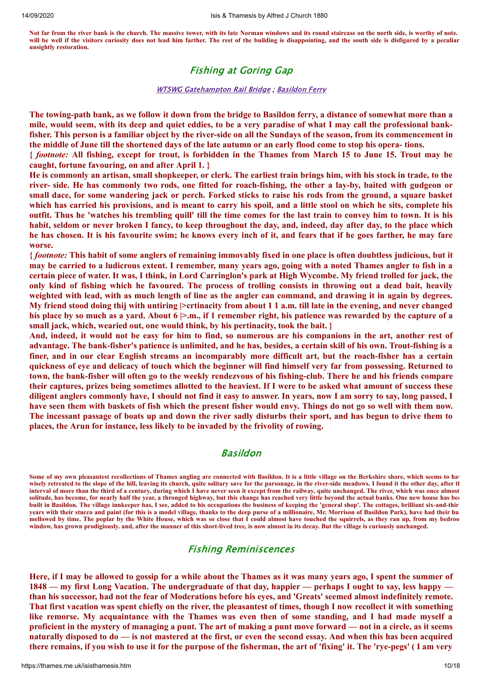**Not far from the river bank is the church. The massive tower, with its late Norman windows and its round staircase on the north side, is worthy of note. will be well if the visitors curiosity does not lead him farther. The rest of the building is disappointing, and the south side is disfigured by a peculiar unsightly restoration.**

# Fishing at Goring Gap

## **WTSWG [Gatehampton](https://thames.me.uk/s01240.htm) Rail Bridge** ; [Basildon](https://thames.me.uk/s01235.htm) Ferry

The towing-path bank, as we follow it down from the bridge to Basildon ferry, a distance of somewhat more than a mile, would seem, with its deep and quiet eddies, to be a very paradise of what I may call the professional bankfisher. This person is a familiar object by the river-side on all the Sundays of the season, from its commencement in the middle of June till the shortened days of the late autumn or an early flood come to stop his opera-tions.

{footnote: All fishing, except for trout, is forbidden in the Thames from March 15 to June 15. Trout may be **caught, fortune favouring, on and after April 1. }**

He is commonly an artisan, small shopkeeper, or clerk. The earliest train brings him, with his stock in trade, to the river- side. He has commonly two rods, one fitted for roach-fishing, the other a lay-by, baited with gudgeon or small dace, for some wandering jack or perch. Forked sticks to raise his rods from the ground, a square basket which has carried his provisions, and is meant to carry his spoil, and a little stool on which he sits, complete his outfit. Thus he 'watches his trembling quill' till the time comes for the last train to convey him to town. It is his habit, seldom or never broken I fancy, to keep throughout the day, and, indeed, day after day, to the place which he has chosen. It is his favourite swim; he knows every inch of it, and fears that if he goes farther, he may fare **worse.**

{ footnote: This habit of some anglers of remaining immovably fixed in one place is often doubtless judicious, but it may be carried to a ludicrous extent. I remember, many years ago, going with a noted Thames angler to fish in a certain piece of water. It was, I think, in Lord Carringlon's park at High Wycombe. My friend trolled for jack, the only kind of fishing which he favoured. The process of trolling consists in throwing out a dead bait, heavily weighted with lead, with as much length of line as the angler can command, and drawing it in again by degrees. My friend stood doing thij with untiring > crtinacity from about 1 1 a.m. till late in the evening, and never changed his place by so much as a vard. About  $6 \ge m$ , if 1 remember right, his patience was rewarded by the capture of a **small jack, which, wearied out, one would think, by his pertinacity, took the bait. }**

And, indeed, it would not be easy for him to find, so numerous are his companions in the art, another rest of advantage. The bank-fisher's patience is unlimited, and he has, besides, a certain skill of his own. Trout-fishing is a finer, and in our clear English streams an incomparably more difficult art, but the roach-fisher has a certain quickness of eye and delicacy of touch which the beginner will find himself very far from possessing. Returned to town, the bank-fisher will often go to the weekly rendezvous of his fishing-club. There he and his friends compare their captures, prizes being sometimes allotted to the heaviest. If I were to be asked what amount of success these diligent anglers commonly have, I should not find it easy to answer. In years, now I am sorry to say, long passed, I have seen them with baskets of fish which the present fisher would envy. Things do not go so well with them now. The incessant passage of boats up and down the river sadly disturbs their sport, and has begun to drive them to **places, the Arun for instance, less likely to be invaded by the frivolity of rowing.**

# Basildon

Some of my own pleasantest recollections of Thames angling are connected with Basildon. It is a little village on the Berkshire shore, which seems to have **wisely retreated to the slope of the hill, leaving its church, quite solitary save for the parsonage, in the river-side meadows. I found it the other day, after th interval of more than the third of a century, during which I have never seen it except from the railway, quite unchanged. The river, which was once almost solitude, has become, for nearly half the year, a thronged highway, but this change has reached very little beyond the actual banks. One new house has bee built in Basildon. The village innkeeper has, I see, added to his occupations the business of keeping the 'general shop'. The cottages, brilliant six-and-thir years with their stucco and paint (for this is a model village, thanks to the deep purse of a millionaire, Mr. Morrison of Basildon Park), have had their hu mellowed by time. The poplar by the White House, which was so close that I could almost have touched the squirrels, as they ran up, from my bedroo window, has grown prodigiously. and, after the manner of this short-lived tree, is now almost in its decay. But the village is curiously unchanged.**

# Fishing Reminiscences

Here, if I may be allowed to gossip for a while about the Thames as it was many years ago, I spent the summer of 1848 — my first Long Vacation. The undergraduate of that day, happier — perhaps I ought to say, less happy than his successor, had not the fear of Moderations before his eyes, and 'Greats' seemed almost indefinitely remote. That first vacation was spent chiefly on the river, the pleasantest of times, though I now recollect it with something like remorse. My acquaintance with the Thames was even then of some standing, and I had made myself a proficient in the mystery of managing a punt. The art of making a punt move forward — not in a circle, as it seems naturally disposed to  $do$   $-$  is not mastered at the first, or even the second essay. And when this has been acquired there remains, if you wish to use it for the purpose of the fisherman, the art of 'fixing' it. The 'rye-pegs' (I am very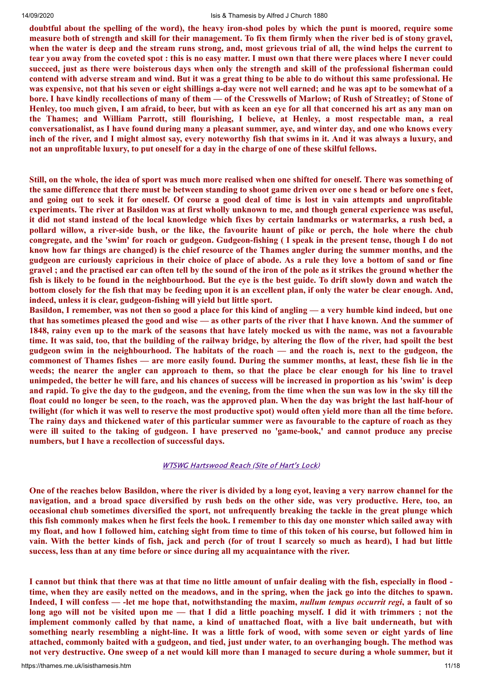doubtful about the spelling of the word), the heavy iron-shod poles by which the punt is moored, require some measure both of strength and skill for their management. To fix them firmly when the river bed is of stony gravel, when the water is deep and the stream runs strong, and, most grievous trial of all, the wind helps the current to tear you away from the coveted spot : this is no easy matter. I must own that there were places where I never could succeed, just as there were boisterous days when only the strength and skill of the professional fisherman could contend with adverse stream and wind. But it was a great thing to be able to do without this same professional. He was expensive, not that his seven or eight shillings a-day were not well earned; and he was apt to be somewhat of a bore. I have kindly recollections of many of them — of the Cresswells of Marlow; of Rush of Streatley; of Stone of Henley, too much given, I am afraid, to beer, but with as keen an eve for all that concerned his art as any man on **the Thames; and William Parrott, still flourishing, I believe, at Henley, a most respectable man, a real** conversationalist, as I have found during many a pleasant summer, aye, and winter day, and one who knows every inch of the river, and I might almost say, every noteworthy fish that swims in it. And it was always a luxury, and not an unprofitable luxury, to put oneself for a day in the charge of one of these skilful fellows.

Still, on the whole, the idea of sport was much more realised when one shifted for oneself. There was something of the same difference that there must be between standing to shoot game driven over one s head or before one s feet, and going out to seek it for oneself. Of course a good deal of time is lost in vain attempts and unprofitable experiments. The river at Basildon was at first wholly unknown to me, and though general experience was useful, it did not stand instead of the local knowledge which fixes by certain landmarks or watermarks, a rush bed, a pollard willow, a river-side bush, or the like, the favourite haunt of pike or perch, the hole where the chub congregate, and the 'swim' for roach or gudgeon. Gudgeon-fishing (I speak in the present tense, though I do not know how far things are changed) is the chief resource of the Thames angler during the summer months, and the gudgeon are curiously capricious in their choice of place of abode. As a rule they love a bottom of sand or fine gravel; and the practised ear can often tell by the sound of the iron of the pole as it strikes the ground whether the fish is likely to be found in the neighbourhood. But the eye is the best guide. To drift slowly down and watch the bottom closely for the fish that may be feeding upon it is an excellent plan, if only the water be clear enough. And, **indeed, unless it is clear, gudgeon-fishing will yield but little sport.**

Basildon, I remember, was not then so good a place for this kind of angling — a very humble kind indeed, but one that has sometimes pleased the good and wise — as other parts of the river that I have known. And the summer of 1848, rainy even up to the mark of the seasons that have lately mocked us with the name, was not a favourable time. It was said, too, that the building of the railway bridge, by altering the flow of the river, had spoilt the best gudgeon swim in the neighbourhood. The habitats of the roach — and the roach is, next to the gudgeon, the commonest of Thames fishes — are more easily found. During the summer months, at least, these fish lie in the weeds; the nearer the angler can approach to them, so that the place be clear enough for his line to travel unimpeded, the better he will fare, and his chances of success will be increased in proportion as his 'swim' is deep and rapid. To give the day to the gudgeon, and the evening, from the time when the sun was low in the sky till the float could no longer be seen, to the roach, was the approved plan. When the day was bright the last half-hour of twilight (for which it was well to reserve the most productive spot) would often yield more than all the time before. The rainy days and thickened water of this particular summer were as favourable to the capture of roach as they were ill suited to the taking of gudgeon. I have preserved no 'game-book,' and cannot produce any precise **numbers, but I have a recollection of successful days.**

### WTSWG [Hartswood](https://thames.me.uk/s01230.htm) Reach (Site of Hart's Lock)

One of the reaches below Basildon, where the river is divided by a long evot, leaving a very narrow channel for the navigation, and a broad space diversified by rush beds on the other side, was very productive. Here, too, an **occasional chub sometimes diversified the sport, not unfrequently breaking the tackle in the great plunge which** this fish commonly makes when he first feels the hook. I remember to this day one monster which sailed away with my float, and how I followed him, catching sight from time to time of this token of his course, but followed him in vain. With the better kinds of fish, jack and perch (for of trout I scarcely so much as heard), I had but little **success, less than at any time before or since during all my acquaintance with the river.**

I cannot but think that there was at that time no little amount of unfair dealing with the fish, especially in flood time, when they are easily netted on the meadows, and in the spring, when the jack go into the ditches to spawn. Indeed, I will confess — -let me hope that, notwithstanding the maxim, *nullum tempus occurrit regi*, a fault of so long ago will not be visited upon me - that I did a little poaching myself. I did it with trimmers ; not the implement commonly called by that name, a kind of unattached float, with a live bait underneath, but with something nearly resembling a night-line. It was a little fork of wood, with some seven or eight yards of line attached, commonly baited with a gudgeon, and tied, just under water, to an overhanging bough. The method was not very destructive. One sweep of a net would kill more than I managed to secure during a whole summer, but it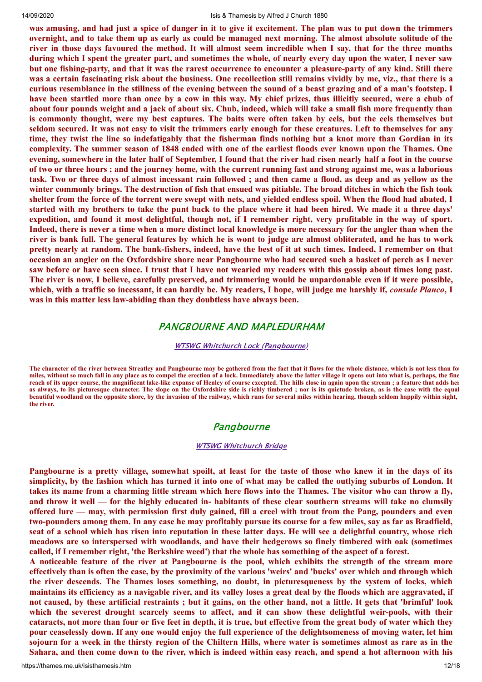was amusing, and had just a spice of danger in it to give it excitement. The plan was to put down the trimmers overnight, and to take them up as early as could be managed next morning. The almost absolute solitude of the river in those days favoured the method. It will almost seem incredible when I say, that for the three months during which I spent the greater part, and sometimes the whole, of nearly every day upon the water, I never saw but one fishing-party, and that it was the rarest occurrence to encounter a pleasure-party of any kind. Still there was a certain fascinating risk about the business. One recollection still remains vividly by me, viz., that there is a curious resemblance in the stillness of the evening between the sound of a beast grazing and of a man's footstep. I have been startled more than once by a cow in this way. My chief prizes, thus illicitly secured, were a chub of about four pounds weight and a jack of about six. Chub, indeed, which will take a small fish more frequently than is commonly thought, were my best captures. The baits were often taken by eels, but the eels themselves but seldom secured. It was not easy to visit the trimmers early enough for these creatures. Left to themselves for any time, they twist the line so indefatigably that the fisherman finds nothing but a knot more than Gordian in its complexity. The summer season of 1848 ended with one of the earliest floods ever known upon the Thames. One evening, somewhere in the later half of September, I found that the river had risen nearly half a foot in the course of two or three hours; and the journey home, with the current running fast and strong against me, was a laborious task. Two or three days of almost incessant rain followed; and then came a flood, as deep and as yellow as the winter commonly brings. The destruction of fish that ensued was pitiable. The broad ditches in which the fish took shelter from the force of the torrent were swept with nets, and yielded endless spoil. When the flood had abated, I started with my brothers to take the punt back to the place where it had been hired. We made it a three days' expedition, and found it most delightful, though not, if I remember right, very profitable in the way of sport. Indeed, there is never a time when a more distinct local knowledge is more necessary for the angler than when the river is bank full. The general features by which he is wont to judge are almost obliterated, and he has to work pretty nearly at random. The bank-fishers, indeed, have the best of it at such times. Indeed, I remember on that occasion an angler on the Oxfordshire shore near Pangbourne who had secured such a basket of perch as I never saw before or have seen since. I trust that I have not wearied my readers with this gossip about times long past. The river is now, I believe, carefully preserved, and trimmering would be unpardonable even if it were possible, which, with a traffic so incessant, it can hardly be. My readers, I hope, will judge me harshly if, consule Planco, I **was in this matter less law-abiding than they doubtless have always been.**

## PANGBOURNE AND MAPLEDURHAM

#### WTSWG Whitchurch Lock [\(Pangbourne\)](https://thames.me.uk/s01220.htm)

**The character of the river between Streatley and Pangbourne may be gathered from the fact that it flows for the whole distance, which is not less than fou miles, without so much fall in any place as to compel the erection of a lock. Immediately above the latter village it opens out into what is, perhaps, the fine reach of its upper course, the magnificent lake-like expanse of Henley of course excepted. The hills close in again upon the stream ; a feature that adds her as always, to its picturesque character. The slope on the Oxfordshire side is richly timbered ; nor is its quietude broken, as is the case with the equal beautiful woodland on the opposite shore, by the invasion of the railway, which runs for several miles within hearing, though seldom happily within sight, the river.**

## Pangbourne

### WTSWG [Whitchurch](https://thames.me.uk/s01210.htm) Bridge

Pangbourne is a pretty village, somewhat spoilt, at least for the taste of those who knew it in the days of its simplicity, by the fashion which has turned it into one of what may be called the outlying suburbs of London. It takes its name from a charming little stream which here flows into the Thames. The visitor who can throw a fly, and throw it well — for the highly educated in- habitants of these clear southern streams will take no clumsily offered lure — may, with permission first duly gained, fill a creel with trout from the Pang, pounders and even two-pounders among them. In any case he may profitably pursue its course for a few miles, say as far as Bradfield, seat of a school which has risen into reputation in these latter days. He will see a delightful country, whose rich **meadows are so interspersed with woodlands, and have their hedgerows so finely timbered with oak (sometimes** called, if I remember right, 'the Berkshire weed') that the whole has something of the aspect of a forest.

A noticeable feature of the river at Pangbourne is the pool, which exhibits the strength of the stream more effectively than is often the case, by the proximity of the various 'weirs' and 'bucks' over which and through which the river descends. The Thames loses something, no doubt, in picturesqueness by the system of locks, which maintains its efficiency as a navigable river, and its valley loses a great deal by the floods which are aggravated, if not caused, by these artificial restraints; but it gains, on the other hand, not a little. It gets that 'brimful' look which the severest drought scarcely seems to affect, and it can show these delightful weir-pools, with their cataracts, not more than four or five feet in depth, it is true, but effective from the great body of water which they pour ceaselessly down. If any one would enjoy the full experience of the delightsomeness of moving water, let him sojourn for a week in the thirsty region of the Chiltern Hills, where water is sometimes almost as rare as in the Sahara, and then come down to the river, which is indeed within easy reach, and spend a hot afternoon with his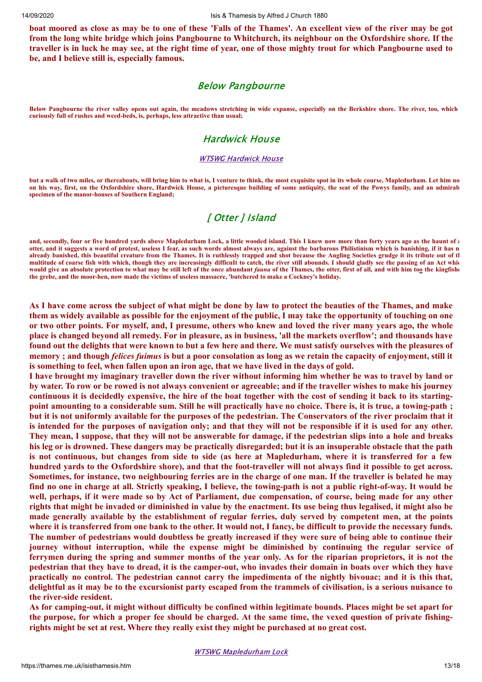boat moored as close as may be to one of these 'Falls of the Thames'. An excellent view of the river may be got from the long white bridge which joins Pangbourne to Whitchurch, its neighbour on the Oxfordshire shore. If the traveller is in luck he may see, at the right time of year, one of those mighty trout for which Pangbourne used to **be, and I believe still is, especially famous.**

# Below Pangbourne

**Below Pangbourne the river valley opens out again, the meadows stretching in wide expanse, especially on the Berkshire shore. The river, too, which curiously full of rushes and weed-beds, is, perhaps, less attractive than usual;**

## Hardwick House

### WTSWG [Hardwick](https://thames.me.uk/s01200.htm) House

**but a walk of two miles, or thereabouts, will bring him to what is, I venture to think, the most exquisite spot in its whole course, Mapledurham. Let him no on his way, first, on the Oxfordshire shore, Hardwick House, a picturesque building of some antiquity, the seat of the Powys family, and an admirab specimen of the manor-houses of Southern England;**

# [ Otter ] Island

and, secondly, four or five hundred yards above Mapledurham Lock, a little wooded island. This I knew now more than forty years ago as the haunt of a **otter, and it suggests a word of protest, useless I fear, as such words almost always are, against the barbarous Philistinism which is banishing, if it has n already banished, this beautiful creature from the Thames. It is ruthlessly trapped and shot because the Angling Societies grudge it its tribute out of th multitude of coarse fish with which, though they are increasingly difficuIt to catch, the river still abounds. I should gladly see the passing of an Act whic would give an absolute protection to what may be still left of the once abundant** *fauna* **of the Thames, the otter, first of all, and with him too the kingfishe the grebe, and the moor-hen, now made the victims of useless massacre, 'butchered to make a Cockney's holiday.**

As I have come across the subject of what might be done by law to protect the beauties of the Thames, and make them as widely available as possible for the enjoyment of the public, I may take the opportunity of touching on one or two other points. For myself, and, I presume, others who knew and loved the river many years ago, the whole place is changed beyond all remedy. For in pleasure, as in business, 'all the markets overflow'; and thousands have found out the delights that were known to but a few here and there. We must satisfy ourselves with the pleasures of memory; and though felices fuimus is but a poor consolation as long as we retain the capacity of enjoyment, still it **is something to feel, when fallen upon an iron age, that we have lived in the days of gold.**

I have brought my imaginary traveller down the river without informing him whether he was to travel by land or by water. To row or be rowed is not always convenient or agreeable; and if the traveller wishes to make his journey continuous it is decidedly expensive, the hire of the boat together with the cost of sending it back to its startingpoint amounting to a considerable sum. Still he will practically have no choice. There is, it is true, a towing-path; but it is not uniformly available for the purposes of the pedestrian. The Conservators of the river proclaim that it is intended for the purposes of navigation only; and that they will not be responsible if it is used for any other. They mean, I suppose, that they will not be answerable for damage, if the pedestrian slips into a hole and breaks his leg or is drowned. These dangers may be practically disregarded; but it is an insuperable obstacle that the path is not continuous, but changes from side to side (as here at Mapledurham, where it is transferred for a few hundred yards to the Oxfordshire shore), and that the foot-traveller will not always find it possible to get across. Sometimes, for instance, two neighbouring ferries are in the charge of one man. If the traveller is belated he may find no one in charge at all. Strictly speaking, I believe, the towing-path is not a public right-of-way. It would be well, perhaps, if it were made so by Act of Parliament, due compensation, of course, being made for any other rights that might be invaded or diminished in value by the enactment. Its use being thus legalised, it might also be made generally available by the establishment of regular ferries, duly served by competent men, at the points where it is transferred from one bank to the other. It would not, I fancy, be difficult to provide the necessary funds. The number of pedestrians would doubtless be greatly increased if they were sure of being able to continue their **journey without interruption, while the expense might be diminished by continuing the regular service of** ferrymen during the spring and summer months of the year only. As for the riparian proprietors, it is not the pedestrian that they have to dread, it is the camper-out, who invades their domain in boats over which they have practically no control. The pedestrian cannot carry the impedimenta of the nightly bivouac; and it is this that, delightful as it may be to the excursionist party escaped from the trammels of civilisation, is a serious nuisance to **the river-side resident.**

As for camping-out, it might without difficulty be confined within legitimate bounds. Places might be set apart for the purpose, for which a proper fee should be charged. At the same time, the vexed question of private fishing**rights might be set at rest. Where they really exist they might be purchased at no great cost.**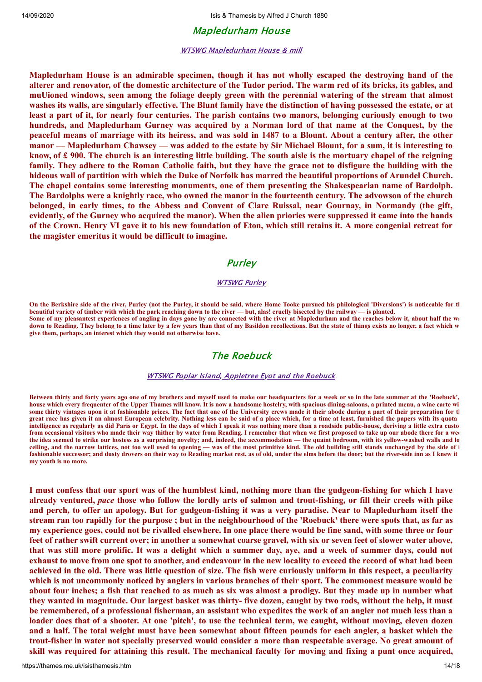## Mapledurham House

## WTSWG [Mapledurham](https://thames.me.uk/s01189.htm) House & mill

**Mapledurham House is an admirable specimen, though it has not wholly escaped the destroying hand of the** alterer and renovator, of the domestic architecture of the Tudor period. The warm red of its bricks, its gables, and muUioned windows, seen among the foliage deeply green with the perennial watering of the stream that almost washes its walls, are singularly effective. The Blunt family have the distinction of having possessed the estate, or at least a part of it, for nearly four centuries. The parish contains two manors, belonging curiously enough to two hundreds, and Mapledurham Gurney was acquired by a Norman lord of that name at the Conquest, by the peaceful means of marriage with its heiress, and was sold in 1487 to a Blount. About a century after, the other manor — Mapledurham Chawsey — was added to the estate by Sir Michael Blount, for a sum, it is interesting to know, of  $\pounds$  900. The church is an interesting little building. The south aisle is the mortuary chapel of the reigning family. They adhere to the Roman Catholic faith, but they have the grace not to disfigure the building with the hideous wall of partition with which the Duke of Norfolk has marred the beautiful proportions of Arundel Church. **The chapel contains some interesting monuments, one of them presenting the Shakespearian name of Bardolph.** The Bardolphs were a knightly race, who owned the manor in the fourteenth century. The advowson of the church belonged, in early times, to the Abbess and Convent of Clare Ruissal, near Gournay, in Normandy (the gift, evidently, of the Gurney who acquired the manor). When the alien priories were suppressed it came into the hands of the Crown. Henry VI gave it to his new foundation of Eton, which still retains it. A more congenial retreat for **the magister emeritus it would be difficult to imagine.**

## **Purley**

## **[WTSWG](https://thames.me.uk/s01180.htm) Purley**

**On the Berkshire side of the river, Purley (not the Purley, it should be said, where Home Tooke pursued his philological 'Diversions') is noticeable for th beautiful variety of timber with which the park reaching down to the river — but, alas! cruelly bisected by the railway — is planted. Some of my pleasantest experiences of angling in days gone by are connected with the river at Mapledurham and the reaches below it, about half the wa down to Reading. They belong to a time later by a few years than that of my Basildon recollections. But the state of things exists no longer, a fact which w give them, perhaps, an interest which they would not otherwise have.**

# The Roebuck

## **WTSWG Poplar Island, [Appletree](https://thames.me.uk/s01178.htm) Eyot and the Roebuck**

**Between thirty and forty years ago one of my brothers and myself used to make our headquarters for a week or so in the late summer at the 'Roebuck', house which every frequenter of the Upper Thames will know. It is now a handsome hostelry, with spacious dining-saloons, a printed menu, a wine carte wi** some thirty vintages upon it at fashionable prices. The fact that one of the University crews made it their abode during a part of their preparation for the **integration** for the *i*ntegration for the *integration* for the **great race has given it an almost European celebrity. Nothing less can be said of a place which, for a time at least, furnished the papers with its quota intelligence as regularly as did Paris or Egypt. In the days of which I speak it was nothing more than a roadside public-house, deriving a little extra custo from occasional visitors who made their way thither by water from Reading. I remember that when we first proposed to take up our abode there for a wee the idea seemed to strike our hostess as a surprising novelty; and, indeed, the accommodation — the quaint bedroom, with its yellow-washed walls and lo ceiling, and the narrow lattices, not too well used to opening — was of the most primitive kind. The old building still stands unchanged by the side of i** fashionable successor; and dusty drovers on their way to Reading market rest, as of old, under the elms before the door; but the river-side inn as I knew it **my youth is no more.**

I must confess that our sport was of the humblest kind, nothing more than the gudgeon-fishing for which I have already ventured, pace those who follow the lordly arts of salmon and trout-fishing, or fill their creels with pike and perch, to offer an apology. But for gudgeon-fishing it was a very paradise. Near to Mapledurham itself the stream ran too rapidly for the purpose; but in the neighbourhood of the 'Roebuck' there were spots that, as far as my experience goes, could not be rivalled elsewhere. In one place there would be fine sand, with some three or four feet of rather swift current over; in another a somewhat coarse gravel, with six or seven feet of slower water above, that was still more prolific. It was a delight which a summer day, aye, and a week of summer days, could not exhaust to move from one spot to another, and endeavour in the new locality to exceed the record of what had been achieved in the old. There was little question of size. The fish were curiously uniform in this respect, a peculiarity which is not uncommonly noticed by anglers in various branches of their sport. The commonest measure would be about four inches; a fish that reached to as much as six was almost a prodigy. But they made up in number what they wanted in magnitude. Our largest basket was thirty- five dozen, caught by two rods, without the help, it must be remembered, of a professional fisherman, an assistant who expedites the work of an angler not much less than a loader does that of a shooter. At one 'pitch', to use the technical term, we caught, without moving, eleven dozen and a half. The total weight must have been somewhat about fifteen pounds for each angler, a basket which the trout-fisher in water not specially preserved would consider a more than respectable average. No great amount of skill was required for attaining this result. The mechanical faculty for moving and fixing a punt once acquired,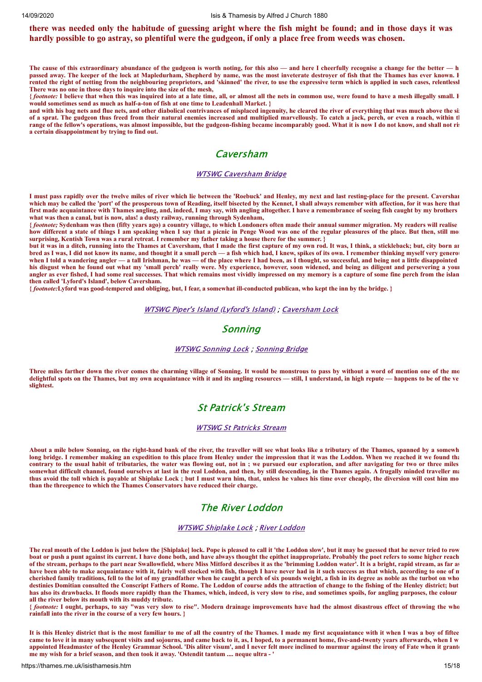## there was needed only the habitude of guessing aright where the fish might be found; and in those days it was hardly possible to go astray, so plentiful were the gudgeon, if only a place free from weeds was chosen.

**The cause of this extraordinary abundance of the gudgeon is worth noting, for this also — and here I cheerfully recognise a change for the better — h passed away. The keeper of the lock at Mapledurham, Shepherd by name, was the most inveterate destroyer of fish that the Thames has ever known. H rented the right of netting from the neighbouring proprietors, and 'skinned' the river, to use the expressive term which is applied in such cases, relentlessl There was no one in those days to inquire into the size of the mesh,**

**{** *footnote:* **I believe that when this was inquired into at a late time, all, or almost all the nets in common use, were found to have a mesh illegally small. H would sometimes send as much as half-a-ton of fish at one time to Leadenhall Market. }**

**and with his bag nets and flue nets, and other diabolical contrivances of misplaced ingenuity, he cleared the river of everything that was much above the siz of a sprat. The gudgeon thus freed from their natural enemies increased and multiplied marvellously. To catch a jack, perch, or even a roach, within th range of the fellow's operations, was almost impossible, but the gudgeon-fishing became incomparably good. What it is now I do not know, and shall not ris a certain disappointment by trying to find out.**

## Caversham

### WTSWG [Caversham](https://thames.me.uk/s01160.htm) Bridge

**I must pass rapidly over the twelve miles of river which lie between the 'Roebuck' and Henley, my next and last resting-place for the present. Caversham which may be called the 'port' of the prosperous town of Reading, itself bisected by the Kennet, I shall always remember with affection, for it was here that first made acquaintance with Thames angling, and, indeed, I may say, with angling altogether. I have a remembrance of seeing fish caught by my brothers what was then a canal, but is now, alas! a dusty railway, running through Sydenham,**

**{** *footnote;* **Sydenham was then (fifty years ago) a country village, to which Londoners often made their annual summer migration. My readers will realise how different a state of things I am speaking when I say that a picnic in Penge Wood was one of the regular pleasures of the place. But then, still mor surprising, Kentish Town was a rural retreat. I remember my father taking a house there for the summer. }**

**but it was in a ditch, running into the Thames at Caversham, that I made the first capture of my own rod. It was, I think, a stickleback; but, city born an bred as I was, I did not know its name, and thought it a small perch — a fish which had, I knew, spikes of its own. I remember thinking myself very generously** when I told a wandering angler — a tall Irishman, he was — of the place where I had been, as I thought, so successful, and being not a little disappointed **his disgust when he found out what my 'small perch' really were. My experience, however, soon widened, and being as diligent and persevering a youn angler as ever fished, I had some real successes. That which remains most vividly impressed on my memory is a capture of some fine perch from the islan then called 'Lyford's Island', below Caversham.**

**{** *footnote:***Lyford was good-tempered and obliging, but, I fear, a somewhat ill-conducted publican, who kept the inn by the bridge. }**

#### WTSWG Piper's Island [\(Lyford's](https://thames.me.uk/s01159.htm) Island) ; [Caversham](https://thames.me.uk/s01140.htm) Lock

## Sonning

### WTSWG [Sonning](https://thames.me.uk/s01110.htm) Lock ; [Sonning](https://thames.me.uk/s01100.htm) Bridge

**Three miles farther down the river comes the charming village of Sonning. It would be monstrous to pass by without a word of mention one of the mo delightful spots on the Thames, but my own acquaintance with it and its angling resources — still, I understand, in high repute — happens to be of the ve slightest.**

## St Patrick's Stream

### WTSWG St [Patricks](https://thames.me.uk/s01091.htm) Stream

**About a mile below Sonning, on the right-hand bank of the river, the traveller will see what looks like a tributary of the Thames, spanned by a somewh long bridge. I remember making an expedition to this place from Henley under the impression that it was the Loddon. When we reached it we found tha contrary to the usual habit of tributaries, the water was flowing out, not in ; we pursued our exploration, and after navigating for two or three miles somewhat difficult channel, found ourselves at last in the real Loddon, and then, by still descending, in the Thames again. A frugally minded traveller ma thus avoid the toll which is payable at Shiplake Lock ; but I must warn him, that, unless he values his time over cheaply, the diversion will cost him mo than the threepence to which the Thames Conservators have reduced their charge.**

# The River Loddon

### WTSWG [Shiplake](https://thames.me.uk/s01082.htm) Lock ; River [Loddon](https://thames.me.uk/s01080.htm)

**The real mouth of the Loddon is just below the [Shiplake] lock. Pope is pleased to call it 'the Loddon slow', but it may be guessed that he never tried to row boat or push a punt against its current. I have done both, and have always thought the epithet inappropriate. Probably the poet refers to some higher reach of the stream, perhaps to the part near Swallowfield, where Miss Mitford describes it as the 'brimming Loddon water'. It is a bright, rapid stream, as far as** have been able to make acquaintance with it, fairly well stocked with fish, though I have never had in it such success as that which, according to one of n **cherished family traditions, fell to the lot of my grandfather when he caught a perch of six pounds weight, a fish in its degree as noble as the turbot on who destinies Domitian consulted the Conscript Fathers of Rome. The Loddon of course adds the attraction of change to the fishing of the Henley district; but has also its drawbacks. It floods more rapidly than the Thames, which, indeed, is very slow to rise, and sometimes spoils, for angling purposes, the colour all the river below its mouth with its muddy tribute.**

**{** *footnote:* **I ought, perhaps, to say "was very slow to rise". Modern drainage improvements have had the almost disastrous effect of throwing the who rainfall into the river in the course of a very few hours. }**

**It is this Henley district that is the most familiar to me of all the country of the Thames. I made my first acquaintance with it when I was a boy of fiftee came to love it in many subsequent visits and sojourns, and came back to it, as, I hoped, to a permanent home, five-and-twenty years afterwards, when I w appointed Headmaster of the Henley Grammar School. 'Dis aliter visum', and I never felt more inclined to murmur against the irony of Fate when it grante me my wish for a brief season, and then took it away. 'Ostendit tantum .... neque ultra - '**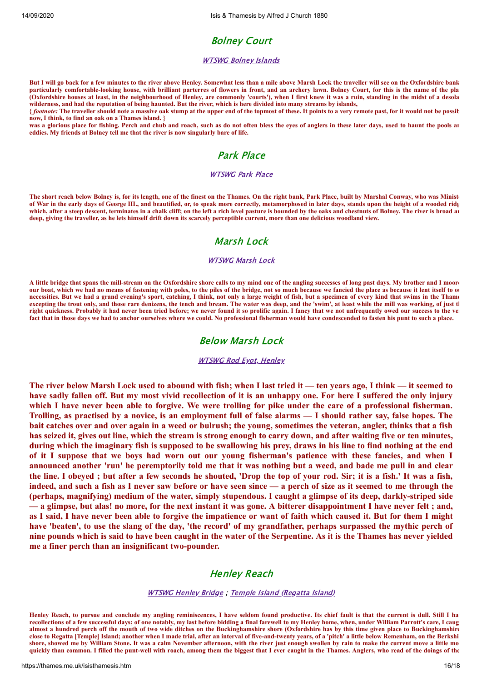# Bolney Court

### [WTSWG](https://thames.me.uk/s01050.htm) Bolney Islands

**But I will go back for a few minutes to the river above Henley. Somewhat less than a mile above Marsh Lock the traveller will see on the Oxfordshire bank particularly comfortable-looking house, with brilliant parterres of flowers in front, and an archery lawn. Bolney Court, for this is the name of the pla (Oxfordshire houses at least, in the neighbourhood of Henley, are commonly 'courts'), when I first knew it was a ruin, standing in the midst of a desola wilderness, and had the reputation of being haunted. But the river, which is here divided into many streams by islands,** 

**{** *footnote:* **The traveller should note a massive oak stump at the upper end of the topmost of these. It points to a very remote past, for it would not be possib now, I think, to find an oak on a Thames island. }**

was a glorious place for fishing. Perch and chub and roach, such as do not often bless the eyes of anglers in these later days, used to haunt the pools an **eddies. My friends at Bolney tell me that the river is now singularly bare of life.**

# Park Place

### [WTSWG](https://thames.me.uk/s01035.htm) Park Place

**The short reach below Bolney is, for its length, one of the finest on the Thames. On the right bank, Park Place, built by Marshal Conway, who was Ministe of War in the early days of George III., and beautified, or, to speak more correctly, metamorphosed in later days, stands upon the height of a wooded ridg which, after a steep descent, terminates in a chalk cliff; on the left a rich level pasture is bounded by the oaks and chestnuts of Bolney. The river is broad an deep, giving the traveller, as he lets himself drift down its scarcely perceptible current, more than one delicious woodland view.**

# Marsh Lock

### **[WTSWG](https://thames.me.uk/s01030.htm) Marsh Lock**

**A little bridge that spans the mill-stream on the Oxfordshire shore calls to my mind one of the angling successes of long past days. My brother and I moore our boat, which we had no means of fastening with poles, to the piles of the bridge, not so much because we fancied the place as because it lent itself to ou necessities. But we had a grand evening's sport, catching, I think, not only a large weight of fish, but a specimen of every kind that swims in the Thame excepting the trout only, and those rare denizens, the tench and bream. The water was deep, and the 'swim', at least while the mill was working, of just th right quickness. Probably it had never been tried before; we never found it so prolific again. I fancy that we not unfrequently owed our success to the ver fact that in those days we had to anchor ourselves where we could. No professional fisherman would have condescended to fasten his punt to such a place.**

## Below Marsh Lock

### [WTSWG](https://thames.me.uk/s01020.htm) Rod Eyot, Henley

The river below Marsh Lock used to abound with fish; when I last tried it — ten years ago, I think — it seemed to have sadly fallen off. But my most vivid recollection of it is an unhappy one. For here I suffered the only injury which I have never been able to forgive. We were trolling for pike under the care of a professional fisherman. Trolling, as practised by a novice, is an employment full of false alarms — I should rather say, false hopes. The bait catches over and over again in a weed or bulrush; the young, sometimes the veteran, angler, thinks that a fish has seized it, gives out line, which the stream is strong enough to carry down, and after waiting five or ten minutes, during which the imaginary fish is supposed to be swallowing his prey, draws in his line to find nothing at the end of it I suppose that we boys had worn out our young fisherman's patience with these fancies, and when I announced another 'run' he peremptorily told me that it was nothing but a weed, and bade me pull in and clear the line. I obeved; but after a few seconds he shouted, 'Drop the top of your rod. Sir; it is a fish.' It was a fish, indeed, and such a fish as I never saw before or have seen since — a perch of size as it seemed to me through the (perhaps, magnifying) medium of the water, simply stupendous. I caught a glimpse of its deep, darkly-striped side - a glimpse, but alas! no more, for the next instant it was gone. A bitterer disappointment I have never felt; and, as I said, I have never been able to forgive the impatience or want of faith which caused it. But for them I might have 'beaten', to use the slang of the day, 'the record' of my grandfather, perhaps surpassed the mythic perch of nine pounds which is said to have been caught in the water of the Serpentine. As it is the Thames has never yielded **me a finer perch than an insignificant two-pounder.**

# Henley Reach

#### [WTSWG](https://thames.me.uk/s00980.htm) Henley Bridge ; Temple Island [\(Regatta](https://thames.me.uk/s00900.htm) Island)

**Henley Reach, to pursue and conclude my angling reminiscences, I have seldom found productive. Its chief fault is that the current is dull. Still I hav recollections of a few successful days; of one notably, my last before bidding a final farewell to my Henley home, when, under William Parrott's care, I caug almost a hundred perch off the mouth of two wide ditches on the Buckinghamshire shore (Oxfordshire has by this time given place to Buckinghamshire close to Regatta [Temple] Island; another when I made trial, after an interval of five-and-twenty years, of a 'pitch' a little below Remenham, on the Berkshi shore, showed me by William Stone. It was a calm November afternoon, with the river just enough swollen by rain to make the current move a little mo quickly than common. I filled the punt-well with roach, among them the biggest that I ever caught in the Thames. Anglers, who read of the doings of the**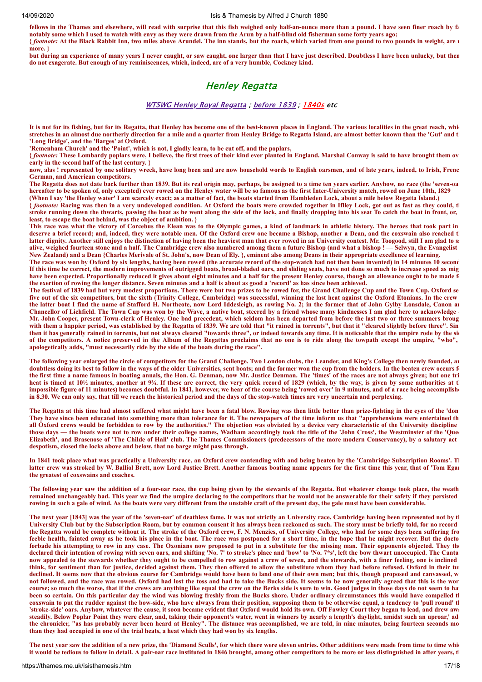**fellows in the Thames and elsewhere, will read with surprise that this fish weighed only half-an-ounce more than a pound. I have seen finer roach by fa notably some which I used to watch with envy as they were drawn from the Arun by a half-blind old fisherman some forty years ago; {** *footnote:* **At the Black Rabbit Inn, two miles above Arundel. The inn stands, but the roach, which varied from one pound to two pounds in weight, are n**

**more. } but during an experience of many years I never caught, or saw caught, one larger than that I have just described. Doubtless I have been unlucky, but then do not exagerate. But enough of my reminiscences, which, indeed, are of a very humble, Cockney kind.**

# Henley Regatta

### WTSWG Henley Royal [Regatta](https://thames.me.uk/s00930.htm) ; [before](https://thames.me.uk/s00930a.htm) 1839 ; [1840s](https://thames.me.uk/s00930b.htm) etc

**It is not for its fishing, but for its Regatta, that Henley has become one of the best-known places in England. The various localities in the great reach, whic stretches in an almost due northerly direction for a mile and a quarter from Henley Bridge to Regatta Island, are almost better known than the 'Gut' and th 'Long Bridge', and the 'Barges' at Oxford.**

**'Remenham Church' and the 'Point', which is not, I gladly learn, to be cut off, and the poplars,**

**{** *footnote:* **These Lombardy poplars were, I believe, the first trees of their kind ever planted in England. Marshal Conway is said to have brought them ov early in the second half of the last century. }**

**now, alas ! represented by one solitary wreck, have long been and are now household words to English oarsmen, and of late years, indeed, to Irish, Frenc German, and American competitors.**

**The Regatta does not date back further than 1839. But its real origin may, perhaps, be assigned to a time ten years earlier. Anyhow, no race (the 'seven-oar hereafter to be spoken of, only excepted) ever rowed on the Henley water will be so famous as the first Inter-University match, rowed on June 10th, 1829 (When I say 'the Henley water' I am scarcely exact; as a matter of fact, the boats started from Hambleden Lock, about a mile below Regatta Island.)**

**{** *footnote:* **Racing was then in a very undeveloped condition. At Oxford the boats were crowded together in Iflley Lock, got out as fast as they could, th stroke running down the thwarts, passing the boat as he went along the side of the lock, and finally dropping into his seat To catch the boat in front, or, least, to escape the boat behind, was the object of ambition. }**

**This race was what the victory of Corcebus the Elean was to the Olympic games, a kind of landmark in athletic history. The heroes that took part in deserve a brief record; and, indeed, they were notable men. Of the Oxford crew one became a Bishop, another a Dean, and the coxswain also reached th latter dignity. Another still enjoys the distinction of having been the heaviest man that ever rowed in an University contest. Mr. Toogood, still I am glad to sa alive, weighed fourteen stone and a half. The Cambridge crew also numbered among them a future Bishop (and what a bishop ! — Selwyn, the Evangelist New Zealand) and a Dean {Charles Merivale of St. John's, now Dean of Ely. }, eminent also among Deans in their appropriate excellence of learning.**

**The race was won by Oxford by six lengths, having been rowed (the accurate record of the stop-watch had not then been invented) in 14 minutes 10 second If this time be correct, the modern improvements of outrigged boats, broad-bladed oars, and sliding seats, have not done so much to increase speed as mig** have been expected. Proportionally reduced it gives about eight minutes and a half for the present Henley course, though an allowance ought to be made for **the exertion of rowing the longer distance. Seven minutes and a half is about as good a 'record' as has since been achieved.**

**The festival of 1839 had but very modest proportions. There were but two prizes to be rowed for, the Grand Challenge Cup and the Town Cup. Oxford se five out of the six competitors, but the sixth (Trinity College, Cambridge) was successful, winning the last heat against the Oxford Etonians. In the crew the latter boat I find the name of Stafford H. Northcote, now Lord Iddesleigh, as rowing No. 2; in the former that of John Gylby Lonsdale, Canon an Chancellor of Lichfield. The Town Cup was won by the Wave, a native boat, steered by a friend whose many kindnesses I am glad here to acknowledge — Mr. John Cooper, present Town-clerk of Henley. One bad precedent, which seldom has been departed from before the last two or three summers broug** with them a happier period, was established by the Regatta of 1839. We are told that "it rained in torrents", but that it "cleared slightly before three". Sinc then it has generally rained in torrents, but not always cleared "towards three", or indeed towards any time. It is noticeable that the umpire rode by the sid **of the competitors. A notice preserved in the Album of the Regattas proclaims that no one is to ride along the towpath except the umpire, "who", apologetically adds, "must necessarily ride by the side of the boats during the race".**

**The following year enlarged the circle of competitors for the Grand Challenge. Two London clubs, the Leander, and King's College then newly founded, an doubtless doing its best to follow in the ways of the older Universities, sent boats; and the former won the cup from the holders. In the beaten crew occurs fo the first time a name famous in boating annals, the Hon. G. Denman, now Mr. Justice Denman. The 'times' of the races are not always given; but one tri heat is timed at 10½ minutes, another at 9¾. If these are correct, the very quick record of 1829 (which, by the way, is given by some authorities at th impossible figure of 11 minutes) becomes doubtful. In 1841, however, we hear of the course being 'rowed over' in 9 minutes, and of a race being accomplishe in 8.30. We can only say, that till we reach the historical period and the days of the stop-watch times are very uncertain and perplexing.** 

**The Regatta at this time had almost suffered what might have been a fatal blow. Rowing was then little better than prize-fighting in the eyes of the 'dons They have since been educated into something more than tolerance for it. The newspapers of the time inform us that "apprehensions were entertained th all Oxford crews would be forbidden to row by the authorities." The objection was obviated by a device very characteristic of the University discipline those days — the boats were not to row under their college names, Wadham accordingly took the title of the 'John Cross', the Westminster of the 'Quee Elizabeth', and Brasenose of 'The Childe of Hall' club. The Thames Commissioners (predecessors of the more modern Conservancy), by a salutary act despotism, closed the locks above and below, that no barge might pass through.**

**In 1841 took place what was practically a University race, an Oxford crew contending with and being beaten by the 'Cambridge Subscription Rooms'. Th latter crew was stroked by W. Balliol Brett, now Lord Justice Brett. Another famous boating name appears for the first time this year, that of 'Tom Egan the greatest of coxswains and coaches.**

**The following year saw the addition of a four-oar race, the cup being given by the stewards of the Regatta. But whatever change took place, the weath remained unchangeably bad. This year we find the umpire declaring to the competitors that he would not be answerable for their safety if they persisted rowing in such a gale of wind. As the boats were very different from the unstable craft of the present day, the gale must have been considerable.**

**The next year [1843] was the year of the 'seven-oar' of deathless fame. It was not strictly an University race, Cambridge having been represented not by th University Club but by the Subscription Room, but by common consent it has always been reckoned as such. The story must be briefly told, for no record the Regatta would be complete without it. The stroke of the Oxford crew, F. N. Menzies, of University College, who had for some days been suffering fro feeble health, fainted away as he took his place in the boat. The race was postponed for a short time, in the hope that he might recover. But the docto forbade his attempting to row in any case. The Oxonians now proposed to put in a substitute for the missing man. Their opponents objected. They the declared their intention of rowing with seven oars, and shifting 'No. 7' to stroke's place and 'bow' to 'No. 7\*s', left the bow thwart unoccupied. The Cantab now appealed to the stewards whether they ought to be compelled to row against a crew of seven, and the stewards, with a finer feeling, one is inclined think, for sentiment than for justice, decided against them. They then offered to allow the substitute whom they had before refused. Oxford in their tur declined. It seems now that the obvious course for Cambridge would have been to land one of their own men; but this, though proposed and canvassed, w not followed, and the race was rowed. Oxford had lost the toss and had to take the Bucks side. It seems to be now generally agreed that this is the wor course; so much the worse, that if the crews are anything like equal the crew on the Berks side is sure to win. Good judges in those days do not seem to hav been so certain. On this particular day the wind was blowing freshly from the Bucks shore. Under ordinary circumstances this would have compelled th coxswain to put the rudder against the bow-side, who have always from their position, supposing them to be otherwise equal, a tendency to 'pull round' th 'stroke-side' oars. Anyhow, whatever the cause, it soon became evident that Oxford would hold its own. Off Fawley Court they began to lead, and drew awa steadily. Below Poplar Point they were clear, and, taking their opponent's water, went in winners by nearly a length's daylight, amidst such an uproar,' add the chronicler, "as has probably never been heard at Henley". The distance was accomplished, we are told, in nine minutes, being fourteen seconds mo than they had occupied in one of the trial heats, a heat which they had won by six lengths.**

**The next year saw the addition of a new prize, the 'Diamond Sculls', for which there were eleven entries. Other additions were made from time to time whic it would be tedious to follow in detail. A pair-oar race instituted in 1846 brought, among other competitors to be more or less distinguished in after years, th**